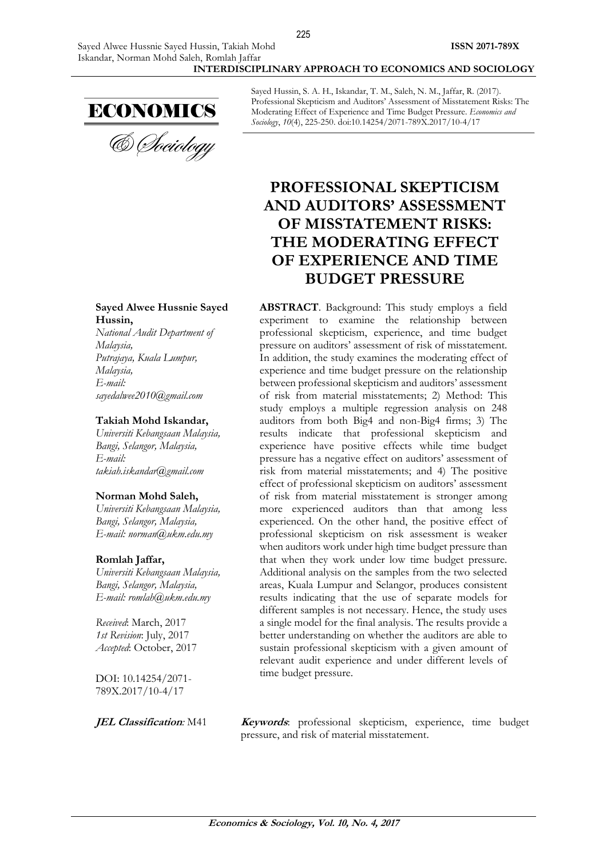

**Sayed Alwee Hussnie Sayed Hussin,**

*National Audit Department of Malaysia, Putrajaya, Kuala Lumpur, Malaysia, E-mail: sayedalwee2010@gmail.com*

#### **Takiah Mohd Iskandar,**

*Universiti Kebangsaan Malaysia, Bangi, Selangor, Malaysia, E-mail: takiah.iskandar@gmail.com*

#### **Norman Mohd Saleh,**

*Universiti Kebangsaan Malaysia, Bangi, Selangor, Malaysia, E-mail: norman@ukm.edu.my* 

#### **Romlah Jaffar,**

*Universiti Kebangsaan Malaysia, Bangi, Selangor, Malaysia, E-mail: romlah@ukm.edu.my*

*Received*: March, 2017 *1st Revision*: July, 2017 *Accepted*: October, 2017

DOI: 10.14254/2071- 789X.2017/10-4/17

Sayed Hussin, S. A. H., Iskandar, T. M., Saleh, N. M., Jaffar, R. (2017). Professional Skepticism and Auditors' Assessment of Misstatement Risks: The Moderating Effect of Experience and Time Budget Pressure. *Economics and Sociology*, *10*(4), 225-250. doi:10.14254/2071-789X.2017/10-4/17

# **PROFESSIONAL SKEPTICISM AND AUDITORS' ASSESSMENT OF MISSTATEMENT RISKS: THE MODERATING EFFECT OF EXPERIENCE AND TIME BUDGET PRESSURE**

**ABSTRACT**. Background: This study employs a field experiment to examine the relationship between professional skepticism, experience, and time budget pressure on auditors' assessment of risk of misstatement. In addition, the study examines the moderating effect of experience and time budget pressure on the relationship between professional skepticism and auditors' assessment of risk from material misstatements; 2) Method: This study employs a multiple regression analysis on 248 auditors from both Big4 and non-Big4 firms; 3) The results indicate that professional skepticism and experience have positive effects while time budget pressure has a negative effect on auditors' assessment of risk from material misstatements; and 4) The positive effect of professional skepticism on auditors' assessment of risk from material misstatement is stronger among more experienced auditors than that among less experienced. On the other hand, the positive effect of professional skepticism on risk assessment is weaker when auditors work under high time budget pressure than that when they work under low time budget pressure. Additional analysis on the samples from the two selected areas, Kuala Lumpur and Selangor, produces consistent results indicating that the use of separate models for different samples is not necessary. Hence, the study uses a single model for the final analysis. The results provide a better understanding on whether the auditors are able to sustain professional skepticism with a given amount of relevant audit experience and under different levels of time budget pressure.

**JEL Classification**: M41 **Keywords**: professional skepticism, experience, time budget pressure, and risk of material misstatement.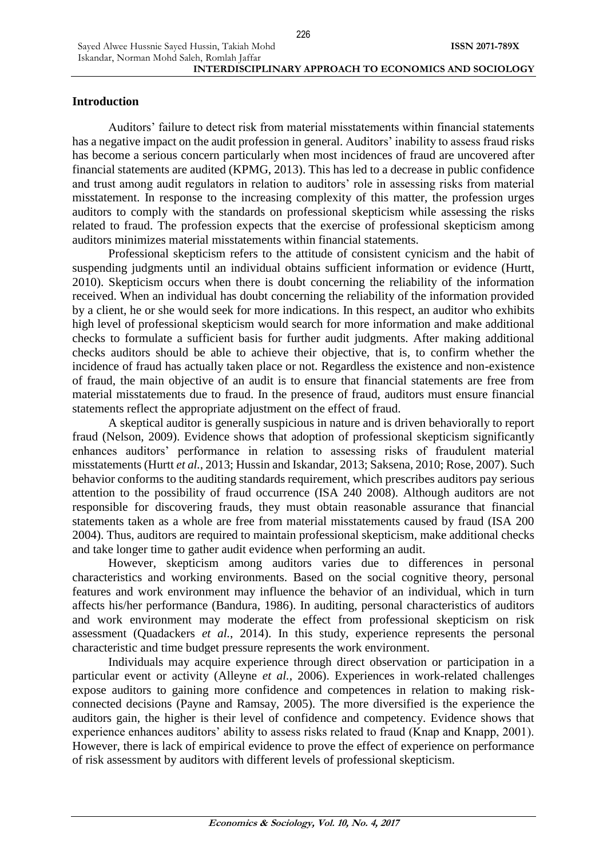226

# **Introduction**

Sayed Alwee Hussnie Sayed Hussin, Takiah Mohd

Auditors' failure to detect risk from material misstatements within financial statements has a negative impact on the audit profession in general. Auditors' inability to assess fraud risks has become a serious concern particularly when most incidences of fraud are uncovered after financial statements are audited (KPMG, 2013). This has led to a decrease in public confidence and trust among audit regulators in relation to auditors' role in assessing risks from material misstatement. In response to the increasing complexity of this matter, the profession urges auditors to comply with the standards on professional skepticism while assessing the risks related to fraud. The profession expects that the exercise of professional skepticism among auditors minimizes material misstatements within financial statements.

Professional skepticism refers to the attitude of consistent cynicism and the habit of suspending judgments until an individual obtains sufficient information or evidence (Hurtt, 2010). Skepticism occurs when there is doubt concerning the reliability of the information received. When an individual has doubt concerning the reliability of the information provided by a client, he or she would seek for more indications. In this respect, an auditor who exhibits high level of professional skepticism would search for more information and make additional checks to formulate a sufficient basis for further audit judgments. After making additional checks auditors should be able to achieve their objective, that is, to confirm whether the incidence of fraud has actually taken place or not. Regardless the existence and non-existence of fraud, the main objective of an audit is to ensure that financial statements are free from material misstatements due to fraud. In the presence of fraud, auditors must ensure financial statements reflect the appropriate adjustment on the effect of fraud.

A skeptical auditor is generally suspicious in nature and is driven behaviorally to report fraud (Nelson, 2009). Evidence shows that adoption of professional skepticism significantly enhances auditors' performance in relation to assessing risks of fraudulent material misstatements (Hurtt *et al.*, 2013; Hussin and Iskandar, 2013; Saksena, 2010; Rose, 2007). Such behavior conforms to the auditing standards requirement, which prescribes auditors pay serious attention to the possibility of fraud occurrence (ISA 240 2008). Although auditors are not responsible for discovering frauds, they must obtain reasonable assurance that financial statements taken as a whole are free from material misstatements caused by fraud (ISA 200 2004). Thus, auditors are required to maintain professional skepticism, make additional checks and take longer time to gather audit evidence when performing an audit.

However, skepticism among auditors varies due to differences in personal characteristics and working environments. Based on the social cognitive theory, personal features and work environment may influence the behavior of an individual, which in turn affects his/her performance (Bandura, 1986). In auditing, personal characteristics of auditors and work environment may moderate the effect from professional skepticism on risk assessment (Quadackers *et al.*, 2014). In this study, experience represents the personal characteristic and time budget pressure represents the work environment.

Individuals may acquire experience through direct observation or participation in a particular event or activity (Alleyne *et al.*, 2006). Experiences in work-related challenges expose auditors to gaining more confidence and competences in relation to making riskconnected decisions (Payne and Ramsay, 2005). The more diversified is the experience the auditors gain, the higher is their level of confidence and competency. Evidence shows that experience enhances auditors' ability to assess risks related to fraud (Knap and Knapp, 2001). However, there is lack of empirical evidence to prove the effect of experience on performance of risk assessment by auditors with different levels of professional skepticism.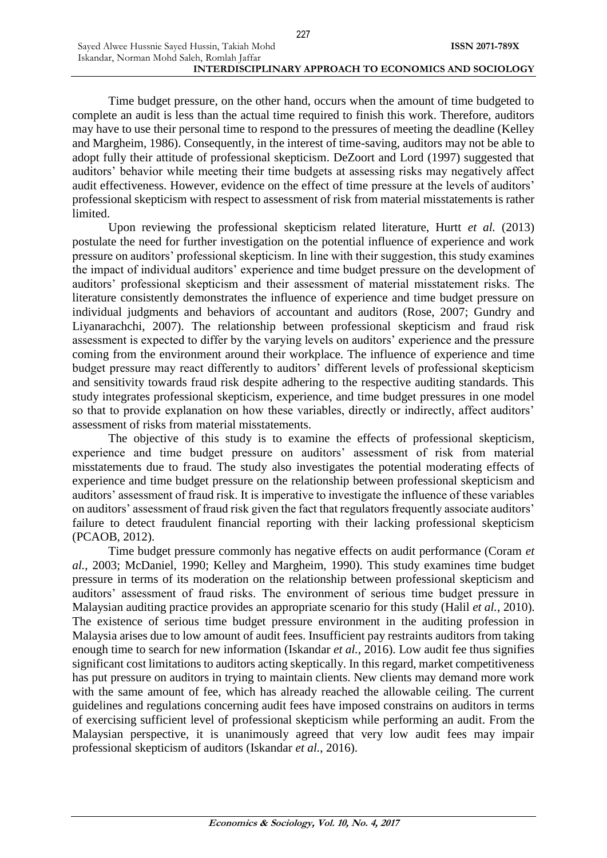Time budget pressure, on the other hand, occurs when the amount of time budgeted to complete an audit is less than the actual time required to finish this work. Therefore, auditors may have to use their personal time to respond to the pressures of meeting the deadline (Kelley and Margheim, 1986). Consequently, in the interest of time-saving, auditors may not be able to adopt fully their attitude of professional skepticism. DeZoort and Lord (1997) suggested that auditors' behavior while meeting their time budgets at assessing risks may negatively affect audit effectiveness. However, evidence on the effect of time pressure at the levels of auditors' professional skepticism with respect to assessment of risk from material misstatements is rather limited.

Upon reviewing the professional skepticism related literature, Hurtt *et al.* (2013) postulate the need for further investigation on the potential influence of experience and work pressure on auditors' professional skepticism. In line with their suggestion, this study examines the impact of individual auditors' experience and time budget pressure on the development of auditors' professional skepticism and their assessment of material misstatement risks. The literature consistently demonstrates the influence of experience and time budget pressure on individual judgments and behaviors of accountant and auditors (Rose, 2007; Gundry and Liyanarachchi, 2007). The relationship between professional skepticism and fraud risk assessment is expected to differ by the varying levels on auditors' experience and the pressure coming from the environment around their workplace. The influence of experience and time budget pressure may react differently to auditors' different levels of professional skepticism and sensitivity towards fraud risk despite adhering to the respective auditing standards. This study integrates professional skepticism, experience, and time budget pressures in one model so that to provide explanation on how these variables, directly or indirectly, affect auditors' assessment of risks from material misstatements.

The objective of this study is to examine the effects of professional skepticism, experience and time budget pressure on auditors' assessment of risk from material misstatements due to fraud. The study also investigates the potential moderating effects of experience and time budget pressure on the relationship between professional skepticism and auditors' assessment of fraud risk. It is imperative to investigate the influence of these variables on auditors' assessment of fraud risk given the fact that regulators frequently associate auditors' failure to detect fraudulent financial reporting with their lacking professional skepticism (PCAOB, 2012).

Time budget pressure commonly has negative effects on audit performance (Coram *et al.*, 2003; McDaniel, 1990; Kelley and Margheim, 1990). This study examines time budget pressure in terms of its moderation on the relationship between professional skepticism and auditors' assessment of fraud risks. The environment of serious time budget pressure in Malaysian auditing practice provides an appropriate scenario for this study (Halil *et al.*, 2010). The existence of serious time budget pressure environment in the auditing profession in Malaysia arises due to low amount of audit fees. Insufficient pay restraints auditors from taking enough time to search for new information (Iskandar *et al.*, 2016). Low audit fee thus signifies significant cost limitations to auditors acting skeptically. In this regard, market competitiveness has put pressure on auditors in trying to maintain clients. New clients may demand more work with the same amount of fee, which has already reached the allowable ceiling. The current guidelines and regulations concerning audit fees have imposed constrains on auditors in terms of exercising sufficient level of professional skepticism while performing an audit. From the Malaysian perspective, it is unanimously agreed that very low audit fees may impair professional skepticism of auditors (Iskandar *et al.*, 2016).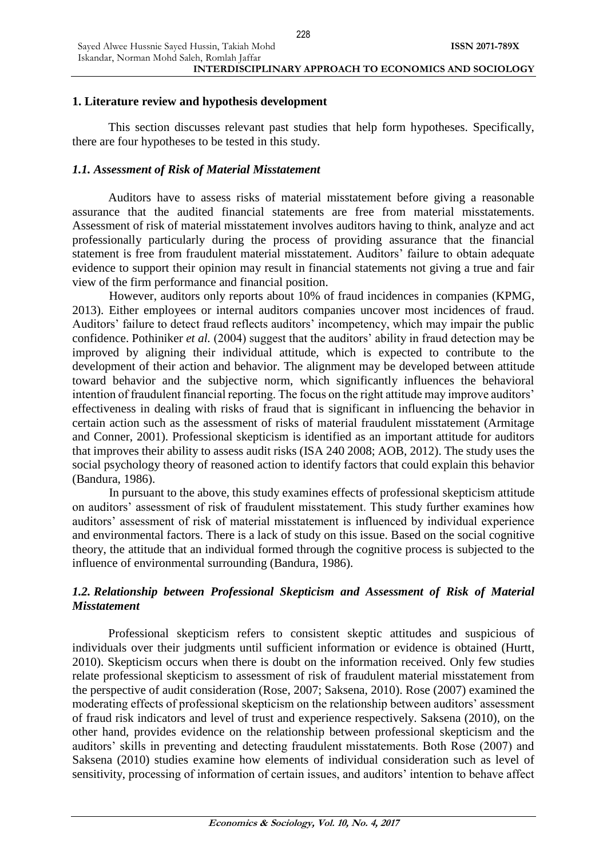# **1. Literature review and hypothesis development**

This section discusses relevant past studies that help form hypotheses. Specifically, there are four hypotheses to be tested in this study.

# *1.1. Assessment of Risk of Material Misstatement*

Auditors have to assess risks of material misstatement before giving a reasonable assurance that the audited financial statements are free from material misstatements. Assessment of risk of material misstatement involves auditors having to think, analyze and act professionally particularly during the process of providing assurance that the financial statement is free from fraudulent material misstatement. Auditors' failure to obtain adequate evidence to support their opinion may result in financial statements not giving a true and fair view of the firm performance and financial position.

However, auditors only reports about 10% of fraud incidences in companies (KPMG, 2013). Either employees or internal auditors companies uncover most incidences of fraud. Auditors' failure to detect fraud reflects auditors' incompetency, which may impair the public confidence. Pothiniker *et al.* (2004) suggest that the auditors' ability in fraud detection may be improved by aligning their individual attitude, which is expected to contribute to the development of their action and behavior. The alignment may be developed between attitude toward behavior and the subjective norm, which significantly influences the behavioral intention of fraudulent financial reporting. The focus on the right attitude may improve auditors' effectiveness in dealing with risks of fraud that is significant in influencing the behavior in certain action such as the assessment of risks of material fraudulent misstatement (Armitage and Conner, 2001). Professional skepticism is identified as an important attitude for auditors that improves their ability to assess audit risks (ISA 240 2008; AOB, 2012). The study uses the social psychology theory of reasoned action to identify factors that could explain this behavior (Bandura, 1986).

In pursuant to the above, this study examines effects of professional skepticism attitude on auditors' assessment of risk of fraudulent misstatement. This study further examines how auditors' assessment of risk of material misstatement is influenced by individual experience and environmental factors. There is a lack of study on this issue. Based on the social cognitive theory, the attitude that an individual formed through the cognitive process is subjected to the influence of environmental surrounding (Bandura, 1986).

# *1.2. Relationship between Professional Skepticism and Assessment of Risk of Material Misstatement*

Professional skepticism refers to consistent skeptic attitudes and suspicious of individuals over their judgments until sufficient information or evidence is obtained (Hurtt, 2010). Skepticism occurs when there is doubt on the information received. Only few studies relate professional skepticism to assessment of risk of fraudulent material misstatement from the perspective of audit consideration (Rose, 2007; Saksena, 2010). Rose (2007) examined the moderating effects of professional skepticism on the relationship between auditors' assessment of fraud risk indicators and level of trust and experience respectively. Saksena (2010), on the other hand, provides evidence on the relationship between professional skepticism and the auditors' skills in preventing and detecting fraudulent misstatements. Both Rose (2007) and Saksena (2010) studies examine how elements of individual consideration such as level of sensitivity, processing of information of certain issues, and auditors' intention to behave affect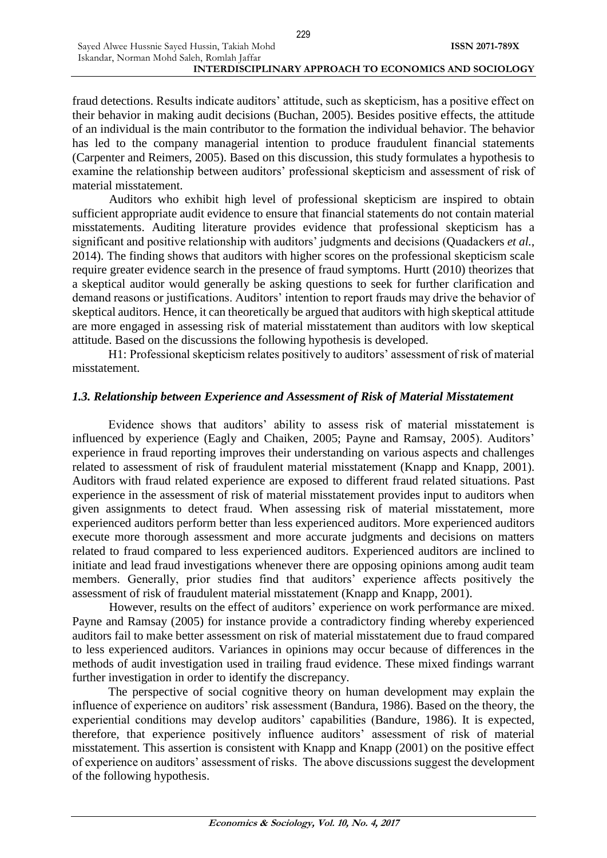fraud detections. Results indicate auditors' attitude, such as skepticism, has a positive effect on their behavior in making audit decisions (Buchan, 2005). Besides positive effects, the attitude of an individual is the main contributor to the formation the individual behavior. The behavior has led to the company managerial intention to produce fraudulent financial statements (Carpenter and Reimers, 2005). Based on this discussion, this study formulates a hypothesis to examine the relationship between auditors' professional skepticism and assessment of risk of material misstatement.

229

Auditors who exhibit high level of professional skepticism are inspired to obtain sufficient appropriate audit evidence to ensure that financial statements do not contain material misstatements. Auditing literature provides evidence that professional skepticism has a significant and positive relationship with auditors' judgments and decisions (Quadackers *et al.*, 2014). The finding shows that auditors with higher scores on the professional skepticism scale require greater evidence search in the presence of fraud symptoms. Hurtt (2010) theorizes that a skeptical auditor would generally be asking questions to seek for further clarification and demand reasons or justifications. Auditors' intention to report frauds may drive the behavior of skeptical auditors. Hence, it can theoretically be argued that auditors with high skeptical attitude are more engaged in assessing risk of material misstatement than auditors with low skeptical attitude. Based on the discussions the following hypothesis is developed.

H1: Professional skepticism relates positively to auditors' assessment of risk of material misstatement.

# *1.3. Relationship between Experience and Assessment of Risk of Material Misstatement*

Evidence shows that auditors' ability to assess risk of material misstatement is influenced by experience (Eagly and Chaiken, 2005; Payne and Ramsay, 2005). Auditors' experience in fraud reporting improves their understanding on various aspects and challenges related to assessment of risk of fraudulent material misstatement (Knapp and Knapp, 2001). Auditors with fraud related experience are exposed to different fraud related situations. Past experience in the assessment of risk of material misstatement provides input to auditors when given assignments to detect fraud. When assessing risk of material misstatement, more experienced auditors perform better than less experienced auditors. More experienced auditors execute more thorough assessment and more accurate judgments and decisions on matters related to fraud compared to less experienced auditors. Experienced auditors are inclined to initiate and lead fraud investigations whenever there are opposing opinions among audit team members. Generally, prior studies find that auditors' experience affects positively the assessment of risk of fraudulent material misstatement (Knapp and Knapp, 2001).

However, results on the effect of auditors' experience on work performance are mixed. Payne and Ramsay (2005) for instance provide a contradictory finding whereby experienced auditors fail to make better assessment on risk of material misstatement due to fraud compared to less experienced auditors. Variances in opinions may occur because of differences in the methods of audit investigation used in trailing fraud evidence. These mixed findings warrant further investigation in order to identify the discrepancy.

The perspective of social cognitive theory on human development may explain the influence of experience on auditors' risk assessment (Bandura, 1986). Based on the theory, the experiential conditions may develop auditors' capabilities (Bandure, 1986). It is expected, therefore, that experience positively influence auditors' assessment of risk of material misstatement. This assertion is consistent with Knapp and Knapp (2001) on the positive effect of experience on auditors' assessment of risks. The above discussions suggest the development of the following hypothesis.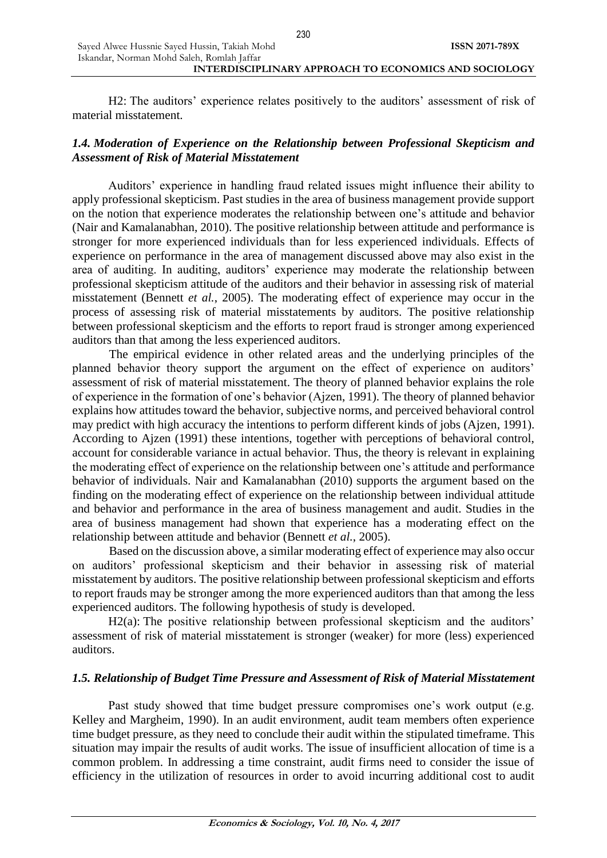H2: The auditors' experience relates positively to the auditors' assessment of risk of material misstatement.

# *1.4. Moderation of Experience on the Relationship between Professional Skepticism and Assessment of Risk of Material Misstatement*

Auditors' experience in handling fraud related issues might influence their ability to apply professional skepticism. Past studies in the area of business management provide support on the notion that experience moderates the relationship between one's attitude and behavior (Nair and Kamalanabhan, 2010). The positive relationship between attitude and performance is stronger for more experienced individuals than for less experienced individuals. Effects of experience on performance in the area of management discussed above may also exist in the area of auditing. In auditing, auditors' experience may moderate the relationship between professional skepticism attitude of the auditors and their behavior in assessing risk of material misstatement (Bennett *et al.*, 2005). The moderating effect of experience may occur in the process of assessing risk of material misstatements by auditors. The positive relationship between professional skepticism and the efforts to report fraud is stronger among experienced auditors than that among the less experienced auditors.

The empirical evidence in other related areas and the underlying principles of the planned behavior theory support the argument on the effect of experience on auditors' assessment of risk of material misstatement. The theory of planned behavior explains the role of experience in the formation of one's behavior (Ajzen, 1991). The theory of planned behavior explains how attitudes toward the behavior, subjective norms, and perceived behavioral control may predict with high accuracy the intentions to perform different kinds of jobs (Ajzen, 1991). According to Ajzen (1991) these intentions, together with perceptions of behavioral control, account for considerable variance in actual behavior. Thus, the theory is relevant in explaining the moderating effect of experience on the relationship between one's attitude and performance behavior of individuals. Nair and Kamalanabhan (2010) supports the argument based on the finding on the moderating effect of experience on the relationship between individual attitude and behavior and performance in the area of business management and audit. Studies in the area of business management had shown that experience has a moderating effect on the relationship between attitude and behavior (Bennett *et al.*, 2005).

Based on the discussion above, a similar moderating effect of experience may also occur on auditors' professional skepticism and their behavior in assessing risk of material misstatement by auditors. The positive relationship between professional skepticism and efforts to report frauds may be stronger among the more experienced auditors than that among the less experienced auditors. The following hypothesis of study is developed.

H2(a): The positive relationship between professional skepticism and the auditors' assessment of risk of material misstatement is stronger (weaker) for more (less) experienced auditors.

# *1.5. Relationship of Budget Time Pressure and Assessment of Risk of Material Misstatement*

Past study showed that time budget pressure compromises one's work output (e.g. Kelley and Margheim, 1990). In an audit environment, audit team members often experience time budget pressure, as they need to conclude their audit within the stipulated timeframe. This situation may impair the results of audit works. The issue of insufficient allocation of time is a common problem. In addressing a time constraint, audit firms need to consider the issue of efficiency in the utilization of resources in order to avoid incurring additional cost to audit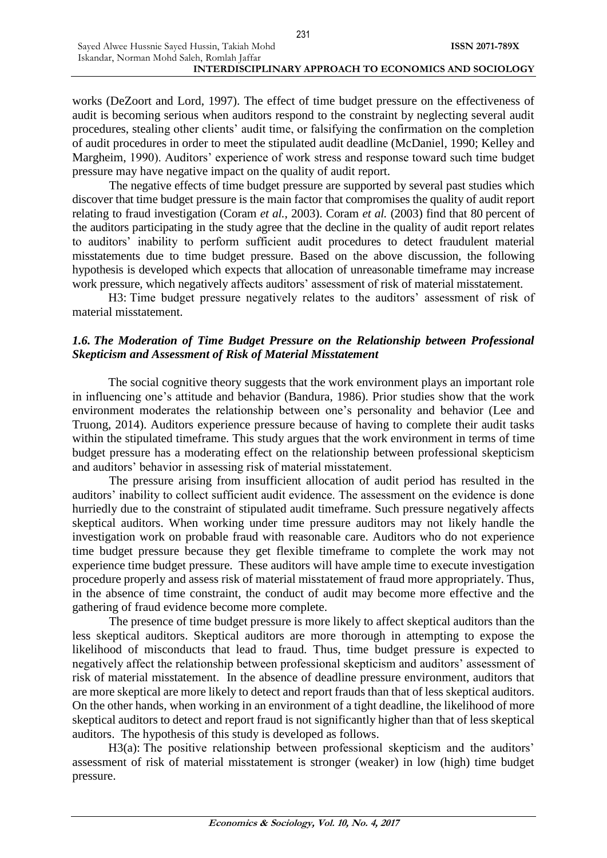works (DeZoort and Lord, 1997). The effect of time budget pressure on the effectiveness of audit is becoming serious when auditors respond to the constraint by neglecting several audit procedures, stealing other clients' audit time, or falsifying the confirmation on the completion of audit procedures in order to meet the stipulated audit deadline (McDaniel, 1990; Kelley and Margheim, 1990). Auditors' experience of work stress and response toward such time budget pressure may have negative impact on the quality of audit report.

The negative effects of time budget pressure are supported by several past studies which discover that time budget pressure is the main factor that compromises the quality of audit report relating to fraud investigation (Coram *et al.*, 2003). Coram *et al.* (2003) find that 80 percent of the auditors participating in the study agree that the decline in the quality of audit report relates to auditors' inability to perform sufficient audit procedures to detect fraudulent material misstatements due to time budget pressure. Based on the above discussion, the following hypothesis is developed which expects that allocation of unreasonable timeframe may increase work pressure, which negatively affects auditors' assessment of risk of material misstatement.

H3: Time budget pressure negatively relates to the auditors' assessment of risk of material misstatement.

# *1.6. The Moderation of Time Budget Pressure on the Relationship between Professional Skepticism and Assessment of Risk of Material Misstatement*

The social cognitive theory suggests that the work environment plays an important role in influencing one's attitude and behavior (Bandura, 1986). Prior studies show that the work environment moderates the relationship between one's personality and behavior (Lee and Truong, 2014). Auditors experience pressure because of having to complete their audit tasks within the stipulated timeframe. This study argues that the work environment in terms of time budget pressure has a moderating effect on the relationship between professional skepticism and auditors' behavior in assessing risk of material misstatement.

The pressure arising from insufficient allocation of audit period has resulted in the auditors' inability to collect sufficient audit evidence. The assessment on the evidence is done hurriedly due to the constraint of stipulated audit timeframe. Such pressure negatively affects skeptical auditors. When working under time pressure auditors may not likely handle the investigation work on probable fraud with reasonable care. Auditors who do not experience time budget pressure because they get flexible timeframe to complete the work may not experience time budget pressure. These auditors will have ample time to execute investigation procedure properly and assess risk of material misstatement of fraud more appropriately. Thus, in the absence of time constraint, the conduct of audit may become more effective and the gathering of fraud evidence become more complete.

The presence of time budget pressure is more likely to affect skeptical auditors than the less skeptical auditors. Skeptical auditors are more thorough in attempting to expose the likelihood of misconducts that lead to fraud. Thus, time budget pressure is expected to negatively affect the relationship between professional skepticism and auditors' assessment of risk of material misstatement. In the absence of deadline pressure environment, auditors that are more skeptical are more likely to detect and report frauds than that of less skeptical auditors. On the other hands, when working in an environment of a tight deadline, the likelihood of more skeptical auditors to detect and report fraud is not significantly higher than that of less skeptical auditors. The hypothesis of this study is developed as follows.

H3(a): The positive relationship between professional skepticism and the auditors' assessment of risk of material misstatement is stronger (weaker) in low (high) time budget pressure.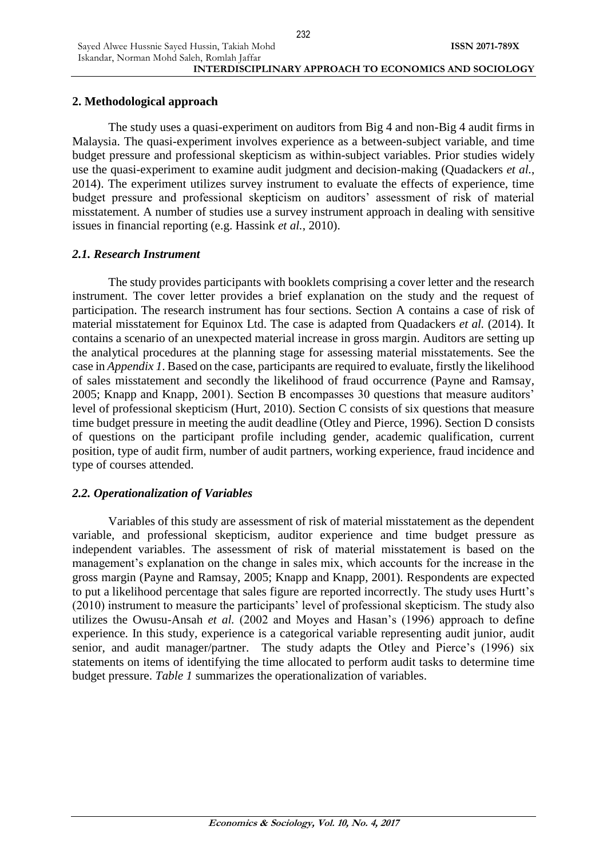# **2. Methodological approach**

The study uses a quasi-experiment on auditors from Big 4 and non-Big 4 audit firms in Malaysia. The quasi-experiment involves experience as a between-subject variable, and time budget pressure and professional skepticism as within-subject variables. Prior studies widely use the quasi-experiment to examine audit judgment and decision-making (Quadackers *et al.*, 2014). The experiment utilizes survey instrument to evaluate the effects of experience, time budget pressure and professional skepticism on auditors' assessment of risk of material misstatement. A number of studies use a survey instrument approach in dealing with sensitive issues in financial reporting (e.g. Hassink *et al.*, 2010).

# *2.1. Research Instrument*

The study provides participants with booklets comprising a cover letter and the research instrument. The cover letter provides a brief explanation on the study and the request of participation. The research instrument has four sections. Section A contains a case of risk of material misstatement for Equinox Ltd. The case is adapted from Quadackers *et al.* (2014). It contains a scenario of an unexpected material increase in gross margin. Auditors are setting up the analytical procedures at the planning stage for assessing material misstatements. See the case in *Appendix 1*. Based on the case, participants are required to evaluate, firstly the likelihood of sales misstatement and secondly the likelihood of fraud occurrence (Payne and Ramsay, 2005; Knapp and Knapp, 2001). Section B encompasses 30 questions that measure auditors' level of professional skepticism (Hurt, 2010). Section C consists of six questions that measure time budget pressure in meeting the audit deadline (Otley and Pierce, 1996). Section D consists of questions on the participant profile including gender, academic qualification, current position, type of audit firm, number of audit partners, working experience, fraud incidence and type of courses attended.

# *2.2. Operationalization of Variables*

Variables of this study are assessment of risk of material misstatement as the dependent variable, and professional skepticism, auditor experience and time budget pressure as independent variables. The assessment of risk of material misstatement is based on the management's explanation on the change in sales mix, which accounts for the increase in the gross margin (Payne and Ramsay, 2005; Knapp and Knapp, 2001). Respondents are expected to put a likelihood percentage that sales figure are reported incorrectly. The study uses Hurtt's (2010) instrument to measure the participants' level of professional skepticism. The study also utilizes the Owusu-Ansah *et al.* (2002 and Moyes and Hasan's (1996) approach to define experience. In this study, experience is a categorical variable representing audit junior, audit senior, and audit manager/partner. The study adapts the Otley and Pierce's (1996) six statements on items of identifying the time allocated to perform audit tasks to determine time budget pressure. *Table 1* summarizes the operationalization of variables.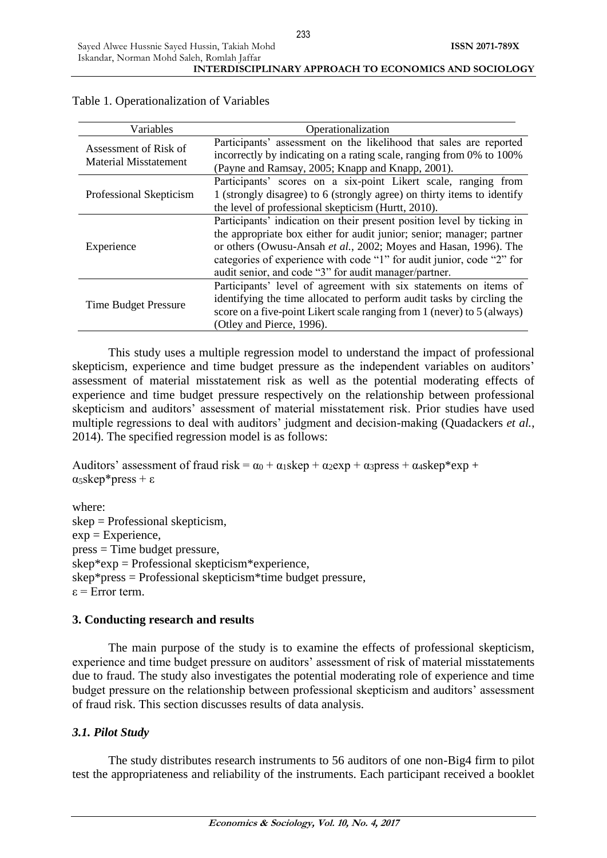| Variables                                             | Operationalization                                                                                                                                                                                                                                                                                                                                    |
|-------------------------------------------------------|-------------------------------------------------------------------------------------------------------------------------------------------------------------------------------------------------------------------------------------------------------------------------------------------------------------------------------------------------------|
| Assessment of Risk of<br><b>Material Misstatement</b> | Participants' assessment on the likelihood that sales are reported<br>incorrectly by indicating on a rating scale, ranging from 0% to 100%<br>(Payne and Ramsay, 2005; Knapp and Knapp, 2001).                                                                                                                                                        |
| Professional Skepticism                               | Participants' scores on a six-point Likert scale, ranging from<br>1 (strongly disagree) to 6 (strongly agree) on thirty items to identify<br>the level of professional skepticism (Hurtt, 2010).                                                                                                                                                      |
| Experience                                            | Participants' indication on their present position level by ticking in<br>the appropriate box either for audit junior; senior; manager; partner<br>or others (Owusu-Ansah et al., 2002; Moyes and Hasan, 1996). The<br>categories of experience with code "1" for audit junior, code "2" for<br>audit senior, and code "3" for audit manager/partner. |
| <b>Time Budget Pressure</b>                           | Participants' level of agreement with six statements on items of<br>identifying the time allocated to perform audit tasks by circling the<br>score on a five-point Likert scale ranging from 1 (never) to 5 (always)<br>(Otley and Pierce, 1996).                                                                                                     |

# Table 1. Operationalization of Variables

This study uses a multiple regression model to understand the impact of professional skepticism, experience and time budget pressure as the independent variables on auditors' assessment of material misstatement risk as well as the potential moderating effects of experience and time budget pressure respectively on the relationship between professional skepticism and auditors' assessment of material misstatement risk. Prior studies have used multiple regressions to deal with auditors' judgment and decision-making (Quadackers *et al.*, 2014). The specified regression model is as follows:

Auditors' assessment of fraud risk =  $\alpha_0 + \alpha_1$ skep +  $\alpha_2$ exp +  $\alpha_3$ press +  $\alpha_4$ skep\*exp + α5skep\*press + ε

where: skep = Professional skepticism,  $exp =$ Experience, press = Time budget pressure,  $skep*exp =$  Professional skepticism\*experience, skep\*press = Professional skepticism\*time budget pressure,  $\varepsilon$  = Error term.

# **3. Conducting research and results**

The main purpose of the study is to examine the effects of professional skepticism, experience and time budget pressure on auditors' assessment of risk of material misstatements due to fraud. The study also investigates the potential moderating role of experience and time budget pressure on the relationship between professional skepticism and auditors' assessment of fraud risk. This section discusses results of data analysis.

# *3.1. Pilot Study*

The study distributes research instruments to 56 auditors of one non-Big4 firm to pilot test the appropriateness and reliability of the instruments. Each participant received a booklet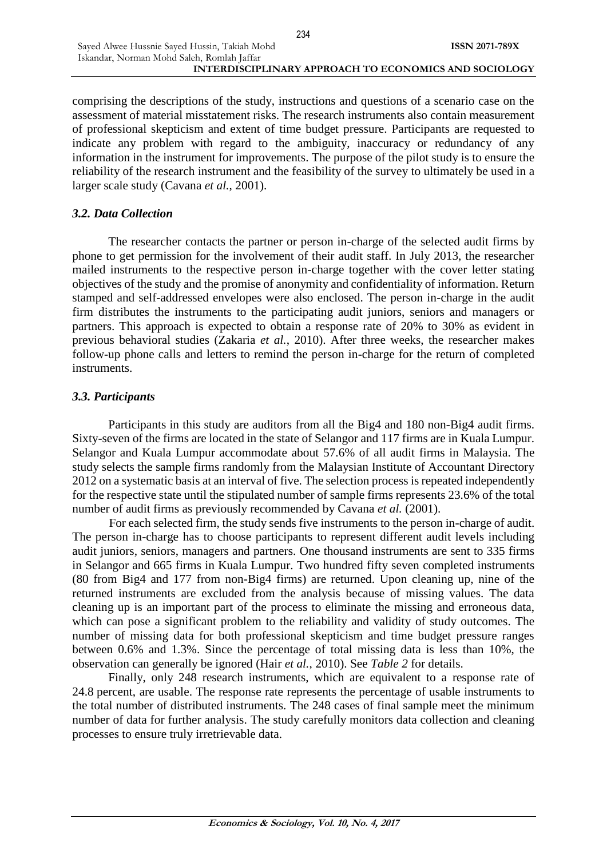#### Iskandar, Norman Mohd Saleh, Romlah Jaffar **INTERDISCIPLINARY APPROACH TO ECONOMICS AND SOCIOLOGY**

comprising the descriptions of the study, instructions and questions of a scenario case on the assessment of material misstatement risks. The research instruments also contain measurement of professional skepticism and extent of time budget pressure. Participants are requested to indicate any problem with regard to the ambiguity, inaccuracy or redundancy of any information in the instrument for improvements. The purpose of the pilot study is to ensure the reliability of the research instrument and the feasibility of the survey to ultimately be used in a larger scale study (Cavana *et al.*, 2001).

### *3.2. Data Collection*

Sayed Alwee Hussnie Sayed Hussin, Takiah Mohd

The researcher contacts the partner or person in-charge of the selected audit firms by phone to get permission for the involvement of their audit staff. In July 2013, the researcher mailed instruments to the respective person in-charge together with the cover letter stating objectives of the study and the promise of anonymity and confidentiality of information. Return stamped and self-addressed envelopes were also enclosed. The person in-charge in the audit firm distributes the instruments to the participating audit juniors, seniors and managers or partners. This approach is expected to obtain a response rate of 20% to 30% as evident in previous behavioral studies (Zakaria *et al.*, 2010). After three weeks, the researcher makes follow-up phone calls and letters to remind the person in-charge for the return of completed instruments.

### *3.3. Participants*

Participants in this study are auditors from all the Big4 and 180 non-Big4 audit firms. Sixty-seven of the firms are located in the state of Selangor and 117 firms are in Kuala Lumpur. Selangor and Kuala Lumpur accommodate about 57.6% of all audit firms in Malaysia. The study selects the sample firms randomly from the Malaysian Institute of Accountant Directory 2012 on a systematic basis at an interval of five. The selection process is repeated independently for the respective state until the stipulated number of sample firms represents 23.6% of the total number of audit firms as previously recommended by Cavana *et al.* (2001).

For each selected firm, the study sends five instruments to the person in-charge of audit. The person in-charge has to choose participants to represent different audit levels including audit juniors, seniors, managers and partners. One thousand instruments are sent to 335 firms in Selangor and 665 firms in Kuala Lumpur. Two hundred fifty seven completed instruments (80 from Big4 and 177 from non-Big4 firms) are returned. Upon cleaning up, nine of the returned instruments are excluded from the analysis because of missing values. The data cleaning up is an important part of the process to eliminate the missing and erroneous data, which can pose a significant problem to the reliability and validity of study outcomes. The number of missing data for both professional skepticism and time budget pressure ranges between 0.6% and 1.3%. Since the percentage of total missing data is less than 10%, the observation can generally be ignored (Hair *et al.*, 2010). See *Table 2* for details.

Finally, only 248 research instruments, which are equivalent to a response rate of 24.8 percent, are usable. The response rate represents the percentage of usable instruments to the total number of distributed instruments. The 248 cases of final sample meet the minimum number of data for further analysis. The study carefully monitors data collection and cleaning processes to ensure truly irretrievable data.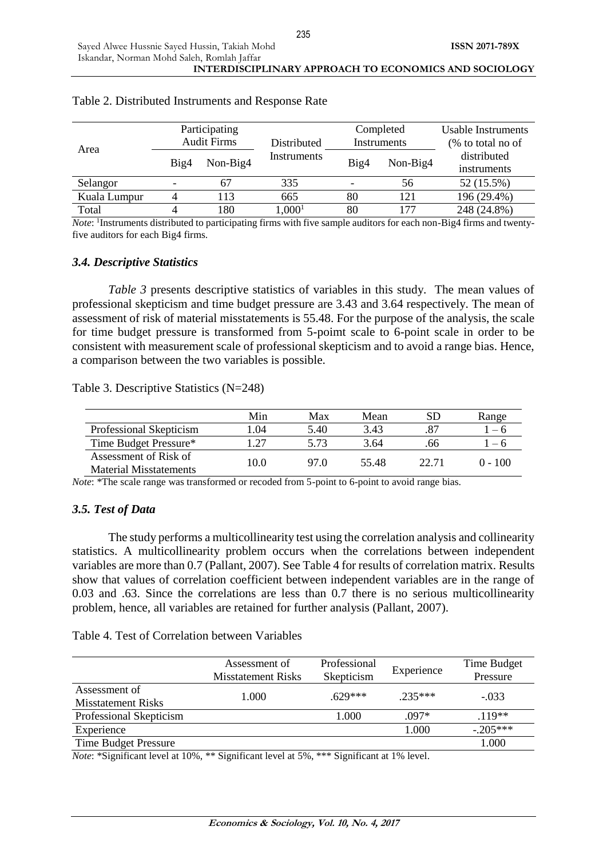|              | Participating<br><b>Audit Firms</b> |          | Distributed |      | Completed<br>Instruments | Usable Instruments<br>(% to total no of |  |
|--------------|-------------------------------------|----------|-------------|------|--------------------------|-----------------------------------------|--|
| Area         | Big4                                | Non-Big4 | Instruments | Big4 | Non-Big4                 | distributed<br>instruments              |  |
| Selangor     | ۰                                   | 67       | 335         |      | 56                       | 52 (15.5%)                              |  |
| Kuala Lumpur |                                     | 113      | 665         | 80   | 121                      | 196 (29.4%)                             |  |
| Total        |                                     | 180      | $1,000^1$   | 80   | 177                      | 248 (24.8%)                             |  |

#### Table 2. Distributed Instruments and Response Rate

*Note*: <sup>1</sup>Instruments distributed to participating firms with five sample auditors for each non-Big4 firms and twentyfive auditors for each Big4 firms.

### *3.4. Descriptive Statistics*

*Table 3* presents descriptive statistics of variables in this study. The mean values of professional skepticism and time budget pressure are 3.43 and 3.64 respectively. The mean of assessment of risk of material misstatements is 55.48. For the purpose of the analysis, the scale for time budget pressure is transformed from 5-poimt scale to 6-point scale in order to be consistent with measurement scale of professional skepticism and to avoid a range bias. Hence, a comparison between the two variables is possible.

Table 3. Descriptive Statistics (N=248)

|                                                        | Min  | Max  | Mean  |       | Range     |
|--------------------------------------------------------|------|------|-------|-------|-----------|
| Professional Skepticism                                | L.04 | 5.40 | 3.43  |       | $-6$      |
| Time Budget Pressure*                                  | -27  | 5.73 | 3.64  | 66    | $-6$      |
| Assessment of Risk of<br><b>Material Misstatements</b> | 10.0 | 97 O | 55.48 | 22.71 | $0 - 100$ |

*Note*: \*The scale range was transformed or recoded from 5-point to 6-point to avoid range bias.

# *3.5. Test of Data*

The study performs a multicollinearity test using the correlation analysis and collinearity statistics. A multicollinearity problem occurs when the correlations between independent variables are more than 0.7 (Pallant, 2007). See Table 4 for results of correlation matrix. Results show that values of correlation coefficient between independent variables are in the range of 0.03 and .63. Since the correlations are less than 0.7 there is no serious multicollinearity problem, hence, all variables are retained for further analysis (Pallant, 2007).

### Table 4. Test of Correlation between Variables

|                                            | Assessment of<br><b>Misstatement Risks</b> | Professional<br>Skepticism | Experience | Time Budget<br>Pressure |
|--------------------------------------------|--------------------------------------------|----------------------------|------------|-------------------------|
| Assessment of<br><b>Misstatement Risks</b> | 1.000                                      | $629***$                   | $235***$   | $-.033$                 |
| Professional Skepticism                    |                                            | 1.000                      | $.097*$    | $.119**$                |
| Experience                                 |                                            |                            | 1.000      | $-205***$               |
| <b>Time Budget Pressure</b>                |                                            |                            |            | 1.000                   |

*Note*: \*Significant level at 10%, \*\* Significant level at 5%, \*\*\* Significant at 1% level.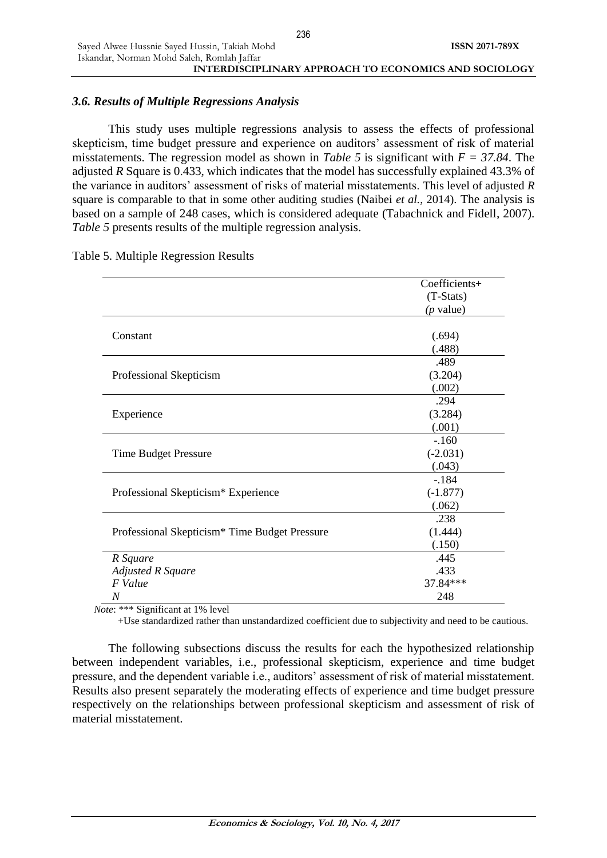# *3.6. Results of Multiple Regressions Analysis*

Sayed Alwee Hussnie Sayed Hussin, Takiah Mohd

This study uses multiple regressions analysis to assess the effects of professional skepticism, time budget pressure and experience on auditors' assessment of risk of material misstatements. The regression model as shown in *Table 5* is significant with *F = 37.84*. The adjusted *R* Square is 0.433, which indicates that the model has successfully explained 43.3% of the variance in auditors' assessment of risks of material misstatements. This level of adjusted *R* square is comparable to that in some other auditing studies (Naibei *et al.*, 2014). The analysis is based on a sample of 248 cases, which is considered adequate (Tabachnick and Fidell, 2007). *Table 5* presents results of the multiple regression analysis.

|                                                           | Coefficients+ |
|-----------------------------------------------------------|---------------|
|                                                           | $(T-Stats)$   |
|                                                           | $(p$ value)   |
|                                                           |               |
| Constant                                                  | (.694)        |
|                                                           | (.488)        |
|                                                           | .489          |
| Professional Skepticism                                   | (3.204)       |
|                                                           | (.002)        |
|                                                           | .294          |
| Experience                                                | (3.284)       |
|                                                           | (.001)        |
|                                                           | $-.160$       |
| Time Budget Pressure                                      | $(-2.031)$    |
|                                                           | (.043)        |
|                                                           | $-184$        |
| Professional Skepticism* Experience                       | $(-1.877)$    |
|                                                           | (.062)        |
|                                                           | .238          |
| Professional Skepticism <sup>*</sup> Time Budget Pressure | (1.444)       |
|                                                           | (.150)        |
| R Square                                                  | .445          |
| <b>Adjusted R Square</b>                                  | .433          |
| F Value                                                   | 37.84***      |
| $\boldsymbol{N}$                                          | 248           |

### Table 5. Multiple Regression Results

*Note*: \*\*\* Significant at 1% level

+Use standardized rather than unstandardized coefficient due to subjectivity and need to be cautious.

The following subsections discuss the results for each the hypothesized relationship between independent variables, i.e., professional skepticism, experience and time budget pressure, and the dependent variable i.e., auditors' assessment of risk of material misstatement. Results also present separately the moderating effects of experience and time budget pressure respectively on the relationships between professional skepticism and assessment of risk of material misstatement.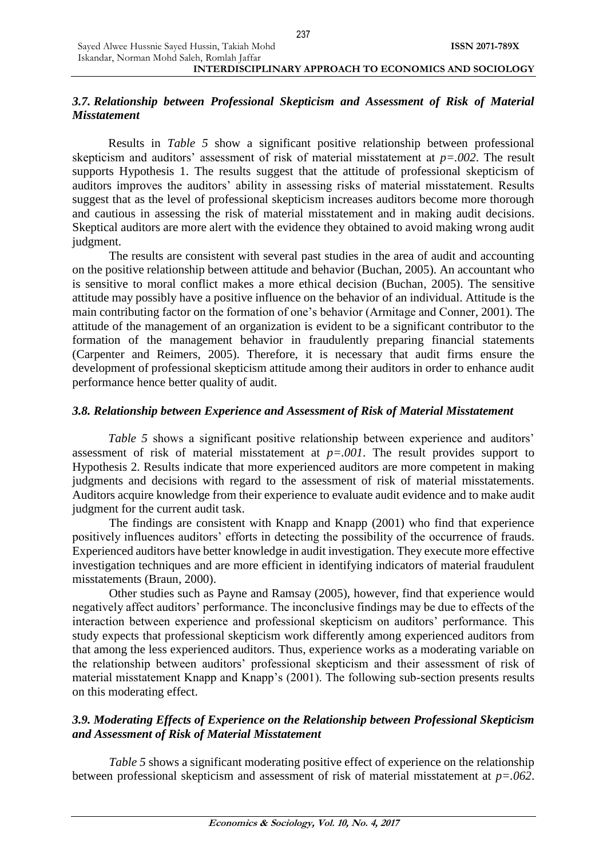# *3.7. Relationship between Professional Skepticism and Assessment of Risk of Material Misstatement*

Results in *Table 5* show a significant positive relationship between professional skepticism and auditors' assessment of risk of material misstatement at *p=.002*. The result supports Hypothesis 1. The results suggest that the attitude of professional skepticism of auditors improves the auditors' ability in assessing risks of material misstatement. Results suggest that as the level of professional skepticism increases auditors become more thorough and cautious in assessing the risk of material misstatement and in making audit decisions. Skeptical auditors are more alert with the evidence they obtained to avoid making wrong audit judgment.

The results are consistent with several past studies in the area of audit and accounting on the positive relationship between attitude and behavior (Buchan, 2005). An accountant who is sensitive to moral conflict makes a more ethical decision (Buchan, 2005). The sensitive attitude may possibly have a positive influence on the behavior of an individual. Attitude is the main contributing factor on the formation of one's behavior (Armitage and Conner, 2001). The attitude of the management of an organization is evident to be a significant contributor to the formation of the management behavior in fraudulently preparing financial statements (Carpenter and Reimers, 2005). Therefore, it is necessary that audit firms ensure the development of professional skepticism attitude among their auditors in order to enhance audit performance hence better quality of audit.

# *3.8. Relationship between Experience and Assessment of Risk of Material Misstatement*

*Table 5* shows a significant positive relationship between experience and auditors' assessment of risk of material misstatement at  $p=.001$ . The result provides support to Hypothesis 2. Results indicate that more experienced auditors are more competent in making judgments and decisions with regard to the assessment of risk of material misstatements. Auditors acquire knowledge from their experience to evaluate audit evidence and to make audit judgment for the current audit task.

The findings are consistent with Knapp and Knapp (2001) who find that experience positively influences auditors' efforts in detecting the possibility of the occurrence of frauds. Experienced auditors have better knowledge in audit investigation. They execute more effective investigation techniques and are more efficient in identifying indicators of material fraudulent misstatements (Braun, 2000).

Other studies such as Payne and Ramsay (2005), however, find that experience would negatively affect auditors' performance. The inconclusive findings may be due to effects of the interaction between experience and professional skepticism on auditors' performance. This study expects that professional skepticism work differently among experienced auditors from that among the less experienced auditors. Thus, experience works as a moderating variable on the relationship between auditors' professional skepticism and their assessment of risk of material misstatement Knapp and Knapp's (2001). The following sub-section presents results on this moderating effect.

# *3.9. Moderating Effects of Experience on the Relationship between Professional Skepticism and Assessment of Risk of Material Misstatement*

*Table 5* shows a significant moderating positive effect of experience on the relationship between professional skepticism and assessment of risk of material misstatement at *p=.062*.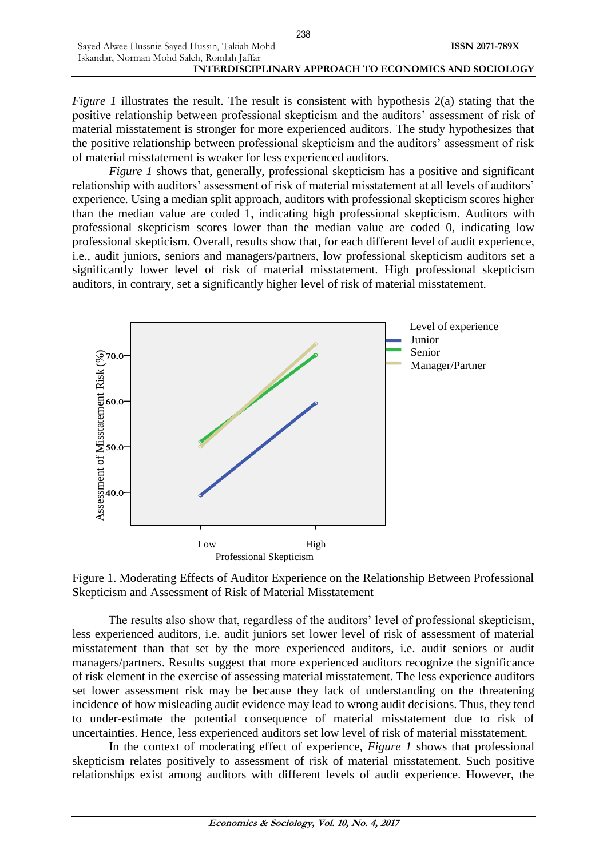*Figure 1* illustrates the result. The result is consistent with hypothesis 2(a) stating that the positive relationship between professional skepticism and the auditors' assessment of risk of material misstatement is stronger for more experienced auditors. The study hypothesizes that the positive relationship between professional skepticism and the auditors' assessment of risk of material misstatement is weaker for less experienced auditors.

*Figure 1* shows that, generally, professional skepticism has a positive and significant relationship with auditors' assessment of risk of material misstatement at all levels of auditors' experience. Using a median split approach, auditors with professional skepticism scores higher than the median value are coded 1, indicating high professional skepticism. Auditors with professional skepticism scores lower than the median value are coded 0, indicating low professional skepticism. Overall, results show that, for each different level of audit experience, i.e., audit juniors, seniors and managers/partners, low professional skepticism auditors set a significantly lower level of risk of material misstatement. High professional skepticism auditors, in contrary, set a significantly higher level of risk of material misstatement.



Figure 1. Moderating Effects of Auditor Experience on the Relationship Between Professional Skepticism and Assessment of Risk of Material Misstatement

The results also show that, regardless of the auditors' level of professional skepticism, less experienced auditors, i.e. audit juniors set lower level of risk of assessment of material misstatement than that set by the more experienced auditors, i.e. audit seniors or audit managers/partners. Results suggest that more experienced auditors recognize the significance of risk element in the exercise of assessing material misstatement. The less experience auditors set lower assessment risk may be because they lack of understanding on the threatening incidence of how misleading audit evidence may lead to wrong audit decisions. Thus, they tend to under-estimate the potential consequence of material misstatement due to risk of uncertainties. Hence, less experienced auditors set low level of risk of material misstatement.

In the context of moderating effect of experience, *Figure 1* shows that professional skepticism relates positively to assessment of risk of material misstatement. Such positive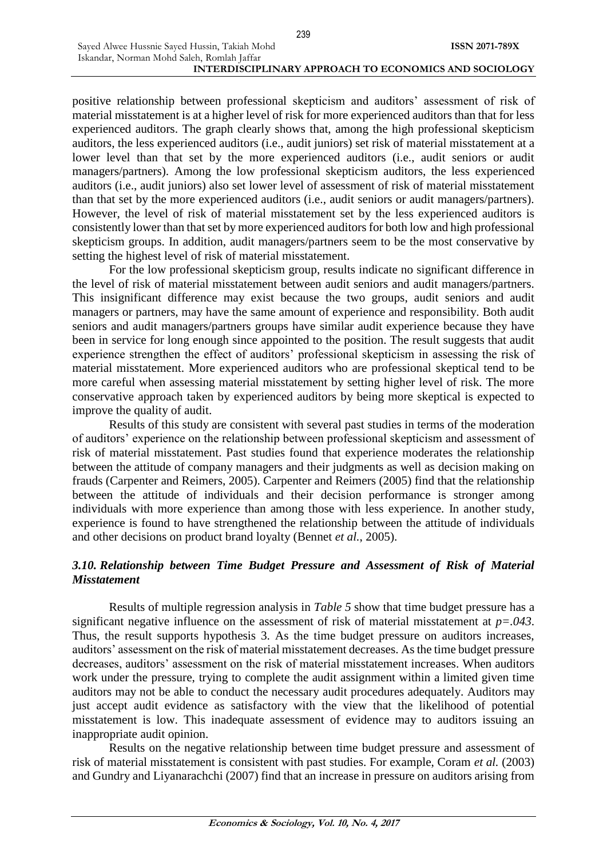positive relationship between professional skepticism and auditors' assessment of risk of material misstatement is at a higher level of risk for more experienced auditors than that for less experienced auditors. The graph clearly shows that, among the high professional skepticism auditors, the less experienced auditors (i.e., audit juniors) set risk of material misstatement at a lower level than that set by the more experienced auditors (i.e., audit seniors or audit managers/partners). Among the low professional skepticism auditors, the less experienced auditors (i.e., audit juniors) also set lower level of assessment of risk of material misstatement than that set by the more experienced auditors (i.e., audit seniors or audit managers/partners). However, the level of risk of material misstatement set by the less experienced auditors is consistently lower than that set by more experienced auditors for both low and high professional skepticism groups. In addition, audit managers/partners seem to be the most conservative by setting the highest level of risk of material misstatement.

For the low professional skepticism group, results indicate no significant difference in the level of risk of material misstatement between audit seniors and audit managers/partners. This insignificant difference may exist because the two groups, audit seniors and audit managers or partners, may have the same amount of experience and responsibility. Both audit seniors and audit managers/partners groups have similar audit experience because they have been in service for long enough since appointed to the position. The result suggests that audit experience strengthen the effect of auditors' professional skepticism in assessing the risk of material misstatement. More experienced auditors who are professional skeptical tend to be more careful when assessing material misstatement by setting higher level of risk. The more conservative approach taken by experienced auditors by being more skeptical is expected to improve the quality of audit.

Results of this study are consistent with several past studies in terms of the moderation of auditors' experience on the relationship between professional skepticism and assessment of risk of material misstatement. Past studies found that experience moderates the relationship between the attitude of company managers and their judgments as well as decision making on frauds (Carpenter and Reimers, 2005). Carpenter and Reimers (2005) find that the relationship between the attitude of individuals and their decision performance is stronger among individuals with more experience than among those with less experience. In another study, experience is found to have strengthened the relationship between the attitude of individuals and other decisions on product brand loyalty (Bennet *et al.*, 2005).

# *3.10. Relationship between Time Budget Pressure and Assessment of Risk of Material Misstatement*

Results of multiple regression analysis in *Table 5* show that time budget pressure has a significant negative influence on the assessment of risk of material misstatement at *p=.043*. Thus, the result supports hypothesis 3. As the time budget pressure on auditors increases, auditors' assessment on the risk of material misstatement decreases. As the time budget pressure decreases, auditors' assessment on the risk of material misstatement increases. When auditors work under the pressure, trying to complete the audit assignment within a limited given time auditors may not be able to conduct the necessary audit procedures adequately. Auditors may just accept audit evidence as satisfactory with the view that the likelihood of potential misstatement is low. This inadequate assessment of evidence may to auditors issuing an inappropriate audit opinion.

Results on the negative relationship between time budget pressure and assessment of risk of material misstatement is consistent with past studies. For example, Coram *et al.* (2003) and Gundry and Liyanarachchi (2007) find that an increase in pressure on auditors arising from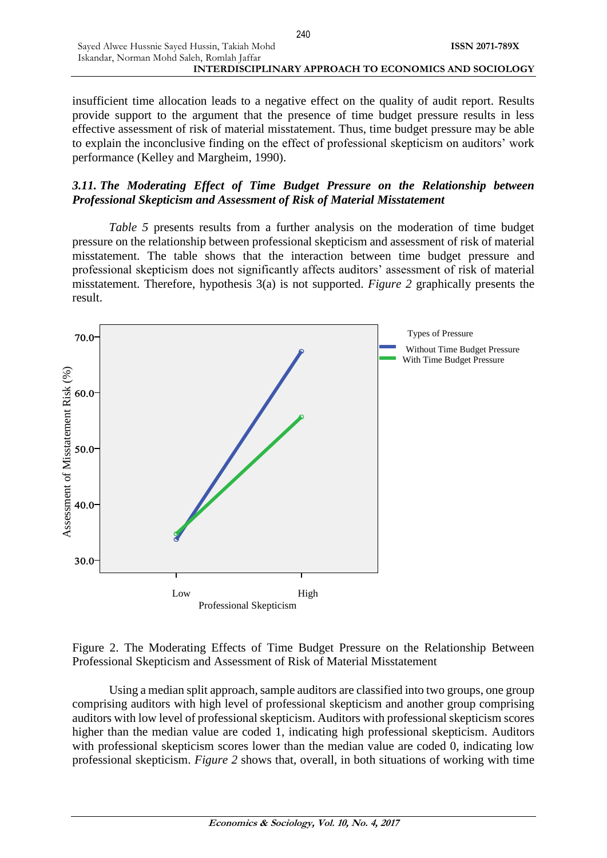insufficient time allocation leads to a negative effect on the quality of audit report. Results provide support to the argument that the presence of time budget pressure results in less effective assessment of risk of material misstatement. Thus, time budget pressure may be able to explain the inconclusive finding on the effect of professional skepticism on auditors' work performance (Kelley and Margheim, 1990).

# *3.11. The Moderating Effect of Time Budget Pressure on the Relationship between Professional Skepticism and Assessment of Risk of Material Misstatement*

*Table 5* presents results from a further analysis on the moderation of time budget pressure on the relationship between professional skepticism and assessment of risk of material misstatement. The table shows that the interaction between time budget pressure and professional skepticism does not significantly affects auditors' assessment of risk of material misstatement. Therefore, hypothesis 3(a) is not supported. *Figure 2* graphically presents the result.



Figure 2. The Moderating Effects of Time Budget Pressure on the Relationship Between Professional Skepticism and Assessment of Risk of Material Misstatement

Using a median split approach, sample auditors are classified into two groups, one group comprising auditors with high level of professional skepticism and another group comprising auditors with low level of professional skepticism. Auditors with professional skepticism scores higher than the median value are coded 1, indicating high professional skepticism. Auditors with professional skepticism scores lower than the median value are coded 0, indicating low professional skepticism. *Figure 2* shows that, overall, in both situations of working with time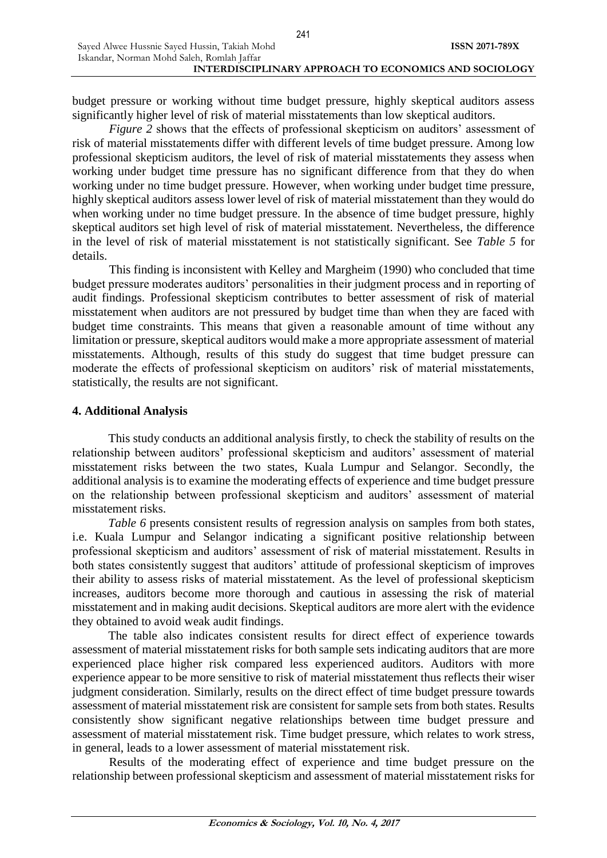budget pressure or working without time budget pressure, highly skeptical auditors assess significantly higher level of risk of material misstatements than low skeptical auditors.

*Figure 2* shows that the effects of professional skepticism on auditors' assessment of risk of material misstatements differ with different levels of time budget pressure. Among low professional skepticism auditors, the level of risk of material misstatements they assess when working under budget time pressure has no significant difference from that they do when working under no time budget pressure. However, when working under budget time pressure, highly skeptical auditors assess lower level of risk of material misstatement than they would do when working under no time budget pressure. In the absence of time budget pressure, highly skeptical auditors set high level of risk of material misstatement. Nevertheless, the difference in the level of risk of material misstatement is not statistically significant. See *Table 5* for details.

This finding is inconsistent with Kelley and Margheim (1990) who concluded that time budget pressure moderates auditors' personalities in their judgment process and in reporting of audit findings. Professional skepticism contributes to better assessment of risk of material misstatement when auditors are not pressured by budget time than when they are faced with budget time constraints. This means that given a reasonable amount of time without any limitation or pressure, skeptical auditors would make a more appropriate assessment of material misstatements. Although, results of this study do suggest that time budget pressure can moderate the effects of professional skepticism on auditors' risk of material misstatements, statistically, the results are not significant.

# **4. Additional Analysis**

This study conducts an additional analysis firstly, to check the stability of results on the relationship between auditors' professional skepticism and auditors' assessment of material misstatement risks between the two states, Kuala Lumpur and Selangor. Secondly, the additional analysis is to examine the moderating effects of experience and time budget pressure on the relationship between professional skepticism and auditors' assessment of material misstatement risks.

*Table 6* presents consistent results of regression analysis on samples from both states, i.e. Kuala Lumpur and Selangor indicating a significant positive relationship between professional skepticism and auditors' assessment of risk of material misstatement. Results in both states consistently suggest that auditors' attitude of professional skepticism of improves their ability to assess risks of material misstatement. As the level of professional skepticism increases, auditors become more thorough and cautious in assessing the risk of material misstatement and in making audit decisions. Skeptical auditors are more alert with the evidence they obtained to avoid weak audit findings.

The table also indicates consistent results for direct effect of experience towards assessment of material misstatement risks for both sample sets indicating auditors that are more experienced place higher risk compared less experienced auditors. Auditors with more experience appear to be more sensitive to risk of material misstatement thus reflects their wiser judgment consideration. Similarly, results on the direct effect of time budget pressure towards assessment of material misstatement risk are consistent for sample sets from both states. Results consistently show significant negative relationships between time budget pressure and assessment of material misstatement risk. Time budget pressure, which relates to work stress, in general, leads to a lower assessment of material misstatement risk.

Results of the moderating effect of experience and time budget pressure on the relationship between professional skepticism and assessment of material misstatement risks for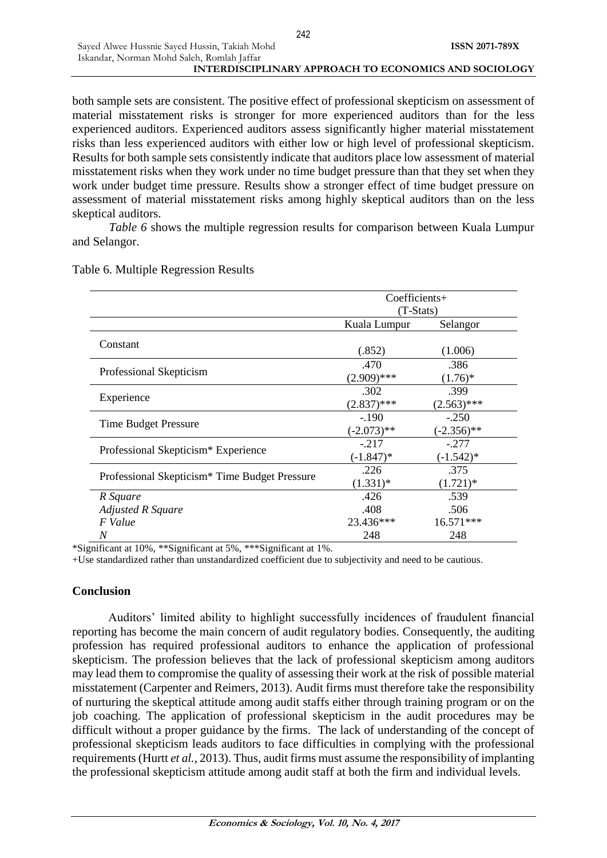both sample sets are consistent. The positive effect of professional skepticism on assessment of material misstatement risks is stronger for more experienced auditors than for the less experienced auditors. Experienced auditors assess significantly higher material misstatement risks than less experienced auditors with either low or high level of professional skepticism. Results for both sample sets consistently indicate that auditors place low assessment of material misstatement risks when they work under no time budget pressure than that they set when they work under budget time pressure. Results show a stronger effect of time budget pressure on assessment of material misstatement risks among highly skeptical auditors than on the less skeptical auditors.

*Table 6* shows the multiple regression results for comparison between Kuala Lumpur and Selangor.

|                                                           | Coefficients+            |                          |  |
|-----------------------------------------------------------|--------------------------|--------------------------|--|
|                                                           | (T-Stats)                |                          |  |
|                                                           | Kuala Lumpur             | Selangor                 |  |
| Constant                                                  | (.852)                   | (1.006)                  |  |
| Professional Skepticism                                   | .470<br>$(2.909)$ ***    | .386<br>$(1.76)^*$       |  |
| Experience                                                | .302<br>$(2.837)$ ***    | .399<br>$(2.563)$ ***    |  |
| Time Budget Pressure                                      | $-.190$<br>$(-2.073)$ ** | $-.250$<br>$(-2.356)$ ** |  |
| Professional Skepticism* Experience                       | $-.217$<br>$(-1.847)^*$  | $-.277$<br>$(-1.542)^*$  |  |
| Professional Skepticism <sup>*</sup> Time Budget Pressure | .226<br>$(1.331)*$       | .375<br>$(1.721)^*$      |  |
| R Square                                                  | .426                     | .539                     |  |
| <b>Adjusted R Square</b>                                  | .408                     | .506                     |  |
| F Value                                                   | 23.436***                | 16.571***                |  |
| N<br>$\cdot$ $\sim$<br>$1001 - 1110$<br>$\cdot$ $\sim$    | 248                      | 248                      |  |

### Table 6. Multiple Regression Results

\*Significant at 10%, \*\*Significant at 5%, \*\*\*Significant at 1%.

+Use standardized rather than unstandardized coefficient due to subjectivity and need to be cautious.

# **Conclusion**

Auditors' limited ability to highlight successfully incidences of fraudulent financial reporting has become the main concern of audit regulatory bodies. Consequently, the auditing profession has required professional auditors to enhance the application of professional skepticism. The profession believes that the lack of professional skepticism among auditors may lead them to compromise the quality of assessing their work at the risk of possible material misstatement (Carpenter and Reimers, 2013). Audit firms must therefore take the responsibility of nurturing the skeptical attitude among audit staffs either through training program or on the job coaching. The application of professional skepticism in the audit procedures may be difficult without a proper guidance by the firms. The lack of understanding of the concept of professional skepticism leads auditors to face difficulties in complying with the professional requirements (Hurtt *et al.*, 2013). Thus, audit firms must assume the responsibility of implanting the professional skepticism attitude among audit staff at both the firm and individual levels.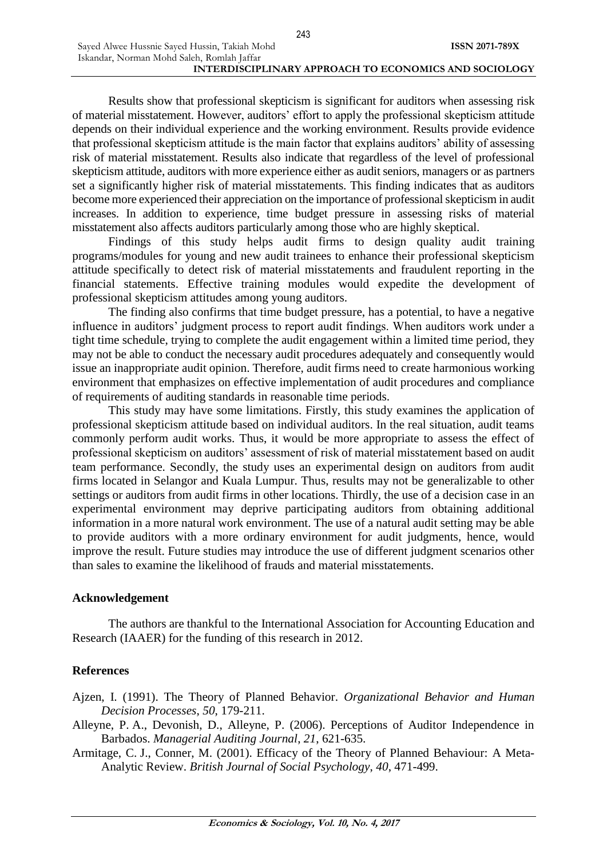Sayed Alwee Hussnie Sayed Hussin, Takiah Mohd

Results show that professional skepticism is significant for auditors when assessing risk of material misstatement. However, auditors' effort to apply the professional skepticism attitude depends on their individual experience and the working environment. Results provide evidence that professional skepticism attitude is the main factor that explains auditors' ability of assessing risk of material misstatement. Results also indicate that regardless of the level of professional skepticism attitude, auditors with more experience either as audit seniors, managers or as partners set a significantly higher risk of material misstatements. This finding indicates that as auditors become more experienced their appreciation on the importance of professional skepticism in audit increases. In addition to experience, time budget pressure in assessing risks of material misstatement also affects auditors particularly among those who are highly skeptical.

Findings of this study helps audit firms to design quality audit training programs/modules for young and new audit trainees to enhance their professional skepticism attitude specifically to detect risk of material misstatements and fraudulent reporting in the financial statements. Effective training modules would expedite the development of professional skepticism attitudes among young auditors.

The finding also confirms that time budget pressure, has a potential, to have a negative influence in auditors' judgment process to report audit findings. When auditors work under a tight time schedule, trying to complete the audit engagement within a limited time period, they may not be able to conduct the necessary audit procedures adequately and consequently would issue an inappropriate audit opinion. Therefore, audit firms need to create harmonious working environment that emphasizes on effective implementation of audit procedures and compliance of requirements of auditing standards in reasonable time periods.

This study may have some limitations. Firstly, this study examines the application of professional skepticism attitude based on individual auditors. In the real situation, audit teams commonly perform audit works. Thus, it would be more appropriate to assess the effect of professional skepticism on auditors' assessment of risk of material misstatement based on audit team performance. Secondly, the study uses an experimental design on auditors from audit firms located in Selangor and Kuala Lumpur. Thus, results may not be generalizable to other settings or auditors from audit firms in other locations. Thirdly, the use of a decision case in an experimental environment may deprive participating auditors from obtaining additional information in a more natural work environment. The use of a natural audit setting may be able to provide auditors with a more ordinary environment for audit judgments, hence, would improve the result. Future studies may introduce the use of different judgment scenarios other than sales to examine the likelihood of frauds and material misstatements.

#### **Acknowledgement**

The authors are thankful to the International Association for Accounting Education and Research (IAAER) for the funding of this research in 2012.

#### **References**

- Ajzen, I. (1991). The Theory of Planned Behavior. *Organizational Behavior and Human Decision Processes*, *50*, 179-211.
- Alleyne, P. A., Devonish, D., Alleyne, P. (2006). Perceptions of Auditor Independence in Barbados. *Managerial Auditing Journal*, *21*, 621-635.
- Armitage, C. J., Conner, M. (2001). Efficacy of the Theory of Planned Behaviour: A Meta-Analytic Review. *British Journal of Social Psychology*, *40*, 471-499.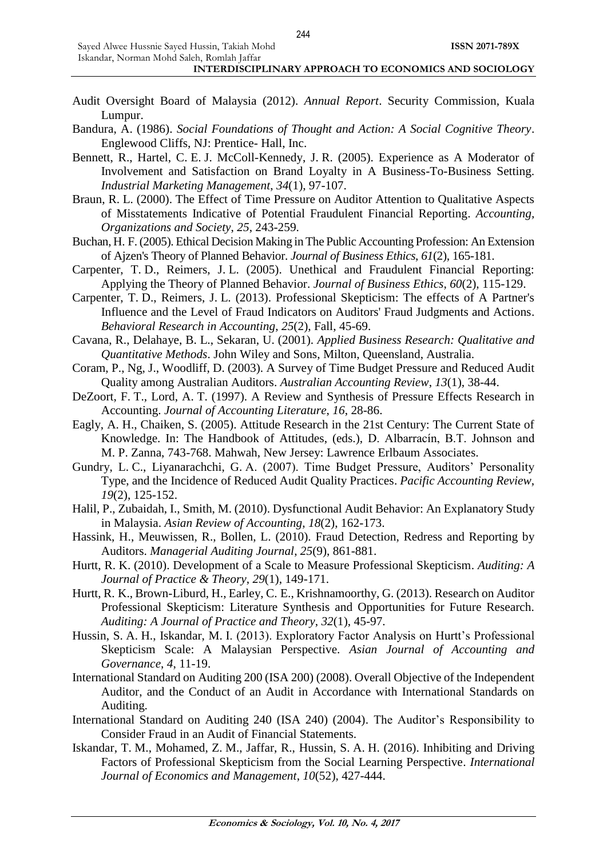- Audit Oversight Board of Malaysia (2012). *Annual Report*. Security Commission, Kuala Lumpur.
- Bandura, A. (1986). *Social Foundations of Thought and Action: A Social Cognitive Theory*. Englewood Cliffs, NJ: Prentice- Hall, Inc.
- Bennett, R., Hartel, C. E. J. McColl-Kennedy, J. R. (2005). Experience as A Moderator of Involvement and Satisfaction on Brand Loyalty in A Business-To-Business Setting. *Industrial Marketing Management*, *34*(1), 97-107.
- Braun, R. L. (2000). The Effect of Time Pressure on Auditor Attention to Qualitative Aspects of Misstatements Indicative of Potential Fraudulent Financial Reporting. *Accounting, Organizations and Society*, *25*, 243-259.
- Buchan, H. F. (2005). Ethical Decision Making in The Public Accounting Profession: An Extension of Ajzen's Theory of Planned Behavior. *Journal of Business Ethics*, *61*(2), 165-181.
- Carpenter, T. D., Reimers, J. L. (2005). Unethical and Fraudulent Financial Reporting: Applying the Theory of Planned Behavior. *Journal of Business Ethics*, *60*(2), 115-129.
- Carpenter, T. D., Reimers, J. L. (2013). Professional Skepticism: The effects of A Partner's Influence and the Level of Fraud Indicators on Auditors' Fraud Judgments and Actions. *Behavioral Research in Accounting*, *25*(2), Fall, 45-69.
- Cavana, R., Delahaye, B. L., Sekaran, U. (2001). *Applied Business Research: Qualitative and Quantitative Methods*. John Wiley and Sons, Milton, Queensland, Australia.
- Coram, P., Ng, J., Woodliff, D. (2003). A Survey of Time Budget Pressure and Reduced Audit Quality among Australian Auditors. *Australian Accounting Review*, *13*(1), 38-44.
- DeZoort, F. T., Lord, A. T. (1997). A Review and Synthesis of Pressure Effects Research in Accounting. *Journal of Accounting Literature*, *16*, 28-86.
- Eagly, A. H., Chaiken, S. (2005). Attitude Research in the 21st Century: The Current State of Knowledge. In: The Handbook of Attitudes, (eds.), D. Albarracín, B.T. Johnson and M. P. Zanna, 743-768. Mahwah, New Jersey: Lawrence Erlbaum Associates.
- Gundry, L. C., Liyanarachchi, G. A. (2007). Time Budget Pressure, Auditors' Personality Type, and the Incidence of Reduced Audit Quality Practices. *Pacific Accounting Review*, *19*(2), 125-152.
- Halil, P., Zubaidah, I., Smith, M. (2010). Dysfunctional Audit Behavior: An Explanatory Study in Malaysia. *Asian Review of Accounting*, *18*(2), 162-173.
- Hassink, H., Meuwissen, R., Bollen, L. (2010). Fraud Detection, Redress and Reporting by Auditors. *Managerial Auditing Journal*, *25*(9), 861-881.
- Hurtt, R. K. (2010). Development of a Scale to Measure Professional Skepticism. *Auditing: A Journal of Practice & Theory*, *29*(1), 149-171.
- Hurtt, R. K., Brown-Liburd, H., Earley, C. E., Krishnamoorthy, G. (2013). Research on Auditor Professional Skepticism: Literature Synthesis and Opportunities for Future Research. *Auditing: A Journal of Practice and Theory*, *32*(1), 45-97.
- Hussin, S. A. H., Iskandar, M. I. (2013). Exploratory Factor Analysis on Hurtt's Professional Skepticism Scale: A Malaysian Perspective. *Asian Journal of Accounting and Governance*, *4*, 11-19.
- International Standard on Auditing 200 (ISA 200) (2008). Overall Objective of the Independent Auditor, and the Conduct of an Audit in Accordance with International Standards on Auditing.
- International Standard on Auditing 240 (ISA 240) (2004). The Auditor's Responsibility to Consider Fraud in an Audit of Financial Statements.
- Iskandar, T. M., Mohamed, Z. M., Jaffar, R., Hussin, S. A. H. (2016). Inhibiting and Driving Factors of Professional Skepticism from the Social Learning Perspective. *International Journal of Economics and Management*, *10*(52), 427-444.

244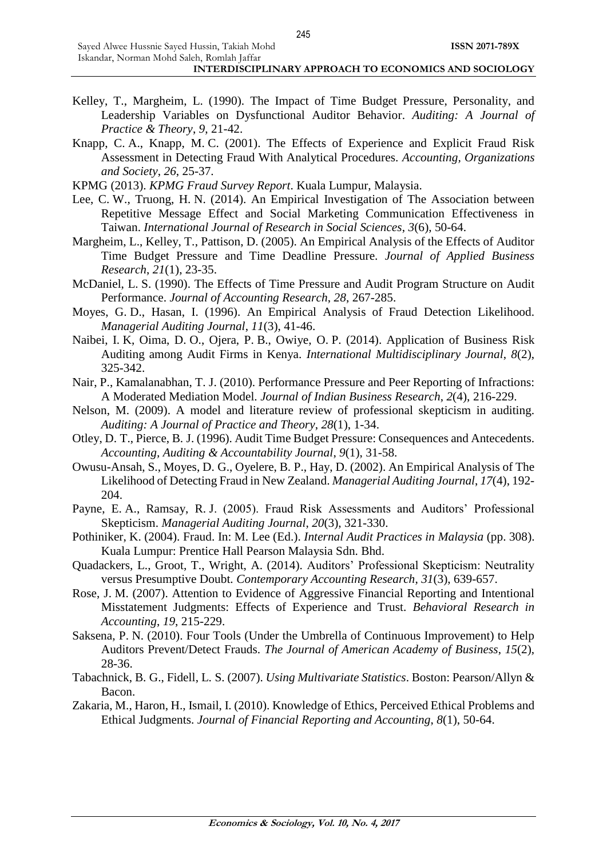- Kelley, T., Margheim, L. (1990). The Impact of Time Budget Pressure, Personality, and Leadership Variables on Dysfunctional Auditor Behavior. *Auditing: A Journal of Practice & Theory*, *9*, 21-42.
- Knapp, C. A., Knapp, M. C. (2001). The Effects of Experience and Explicit Fraud Risk Assessment in Detecting Fraud With Analytical Procedures. *Accounting, Organizations and Society*, *26*, 25-37.
- KPMG (2013). *KPMG Fraud Survey Report*. Kuala Lumpur, Malaysia.
- Lee, C. W., Truong, H. N. (2014). An Empirical Investigation of The Association between Repetitive Message Effect and Social Marketing Communication Effectiveness in Taiwan. *International Journal of Research in Social Sciences*, *3*(6), 50-64.
- Margheim, L., Kelley, T., Pattison, D. (2005). An Empirical Analysis of the Effects of Auditor Time Budget Pressure and Time Deadline Pressure. *Journal of Applied Business Research*, *21*(1), 23-35.
- McDaniel, L. S. (1990). The Effects of Time Pressure and Audit Program Structure on Audit Performance. *Journal of Accounting Research*, *28*, 267-285.
- Moyes, G. D., Hasan, I. (1996). An Empirical Analysis of Fraud Detection Likelihood. *Managerial Auditing Journal*, *11*(3), 41-46.
- Naibei, I. K, Oima, D. O., Ojera, P. B., Owiye, O. P. (2014). Application of Business Risk Auditing among Audit Firms in Kenya. *International Multidisciplinary Journal*, *8*(2), 325-342.
- Nair, P., Kamalanabhan, T. J. (2010). Performance Pressure and Peer Reporting of Infractions: A Moderated Mediation Model. *Journal of Indian Business Research*, *2*(4), 216-229.
- Nelson, M. (2009). A model and literature review of professional skepticism in auditing. *Auditing: A Journal of Practice and Theory*, *28*(1), 1-34.
- Otley, D. T., Pierce, B. J. (1996). Audit Time Budget Pressure: Consequences and Antecedents. *Accounting, Auditing & Accountability Journal*, *9*(1), 31-58.
- Owusu-Ansah, S., Moyes, D. G., Oyelere, B. P., Hay, D. (2002). An Empirical Analysis of The Likelihood of Detecting Fraud in New Zealand. *Managerial Auditing Journal*, *17*(4), 192- 204.
- Payne, E. A., Ramsay, R. J. (2005). Fraud Risk Assessments and Auditors' Professional Skepticism. *Managerial Auditing Journal*, *20*(3), 321-330.
- Pothiniker, K. (2004). Fraud. In: M. Lee (Ed.). *Internal Audit Practices in Malaysia* (pp. 308). Kuala Lumpur: Prentice Hall Pearson Malaysia Sdn. Bhd.
- Quadackers, L., Groot, T., Wright, A. (2014). Auditors' Professional Skepticism: Neutrality versus Presumptive Doubt. *Contemporary Accounting Research*, *31*(3), 639-657.
- Rose, J. M. (2007). Attention to Evidence of Aggressive Financial Reporting and Intentional Misstatement Judgments: Effects of Experience and Trust. *Behavioral Research in Accounting*, *19*, 215-229.
- Saksena, P. N. (2010). Four Tools (Under the Umbrella of Continuous Improvement) to Help Auditors Prevent/Detect Frauds. *The Journal of American Academy of Business*, *15*(2), 28-36.
- Tabachnick, B. G., Fidell, L. S. (2007). *Using Multivariate Statistics*. Boston: Pearson/Allyn & Bacon.
- Zakaria, M., Haron, H., Ismail, I. (2010). Knowledge of Ethics, Perceived Ethical Problems and Ethical Judgments. *Journal of Financial Reporting and Accounting*, *8*(1), 50-64.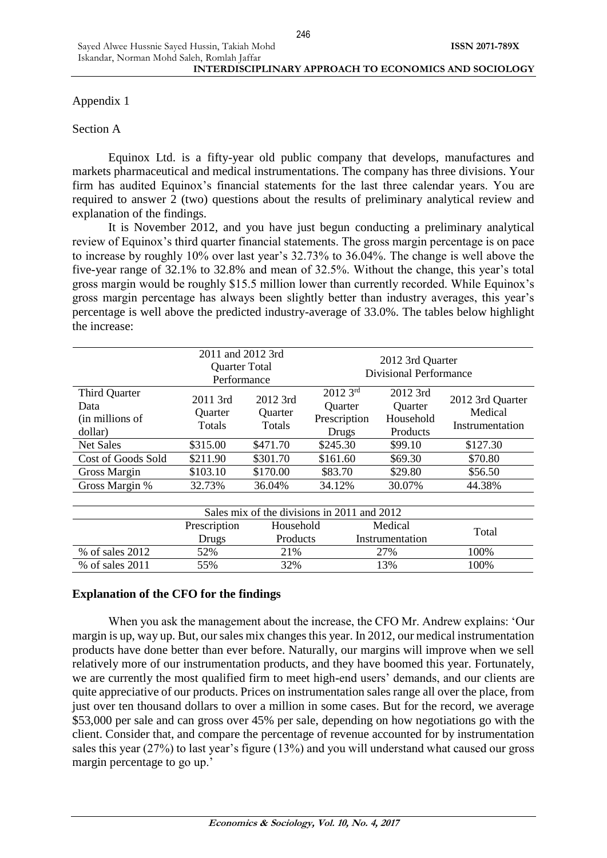Appendix 1

# Section A

Equinox Ltd. is a fifty-year old public company that develops, manufactures and markets pharmaceutical and medical instrumentations. The company has three divisions. Your firm has audited Equinox's financial statements for the last three calendar years. You are required to answer 2 (two) questions about the results of preliminary analytical review and explanation of the findings.

It is November 2012, and you have just begun conducting a preliminary analytical review of Equinox's third quarter financial statements. The gross margin percentage is on pace to increase by roughly 10% over last year's 32.73% to 36.04%. The change is well above the five-year range of 32.1% to 32.8% and mean of 32.5%. Without the change, this year's total gross margin would be roughly \$15.5 million lower than currently recorded. While Equinox's gross margin percentage has always been slightly better than industry averages, this year's percentage is well above the predicted industry-average of 33.0%. The tables below highlight the increase:

|                                                     | 2011 and 2012 3rd<br><b>Quarter Total</b><br>Performance |                                             | 2012 3rd Quarter<br><b>Divisional Performance</b> |                                              |                                                |  |
|-----------------------------------------------------|----------------------------------------------------------|---------------------------------------------|---------------------------------------------------|----------------------------------------------|------------------------------------------------|--|
| Third Quarter<br>Data<br>(in millions of<br>dollar) | $2011$ 3rd<br><b>Ouarter</b><br>Totals                   | 2012 3rd<br><b>Ouarter</b><br><b>Totals</b> | $20123^{rd}$<br>Quarter<br>Prescription<br>Drugs  | 2012 3rd<br>Quarter<br>Household<br>Products | 2012 3rd Quarter<br>Medical<br>Instrumentation |  |
| Net Sales                                           | \$315.00                                                 | \$471.70                                    | \$245.30                                          | \$99.10                                      | \$127.30                                       |  |
| Cost of Goods Sold                                  | \$211.90                                                 | \$301.70                                    | \$161.60                                          | \$69.30                                      | \$70.80                                        |  |
| Gross Margin                                        | \$103.10                                                 | \$170.00                                    | \$83.70                                           | \$29.80                                      | \$56.50                                        |  |
| Gross Margin %                                      | 32.73%                                                   | 36.04%                                      | 34.12%                                            | 30.07%                                       | 44.38%                                         |  |
|                                                     |                                                          |                                             |                                                   |                                              |                                                |  |
|                                                     |                                                          | Sales mix of the divisions in 2011 and 2012 |                                                   |                                              |                                                |  |
|                                                     | Prescription                                             | Household                                   |                                                   | Medical                                      | Total                                          |  |
|                                                     | Drugs                                                    | <b>Products</b>                             |                                                   | Instrumentation                              |                                                |  |
| % of sales 2012                                     | 52%                                                      | 21%                                         |                                                   | 27%                                          | 100%                                           |  |
| % of sales 2011                                     | 55%                                                      | 32%                                         | 13%                                               |                                              | 100%                                           |  |

# **Explanation of the CFO for the findings**

When you ask the management about the increase, the CFO Mr. Andrew explains: 'Our margin is up, way up. But, our sales mix changes this year. In 2012, our medical instrumentation products have done better than ever before. Naturally, our margins will improve when we sell relatively more of our instrumentation products, and they have boomed this year. Fortunately, we are currently the most qualified firm to meet high-end users' demands, and our clients are quite appreciative of our products. Prices on instrumentation sales range all over the place, from just over ten thousand dollars to over a million in some cases. But for the record, we average \$53,000 per sale and can gross over 45% per sale, depending on how negotiations go with the client. Consider that, and compare the percentage of revenue accounted for by instrumentation sales this year (27%) to last year's figure (13%) and you will understand what caused our gross margin percentage to go up.'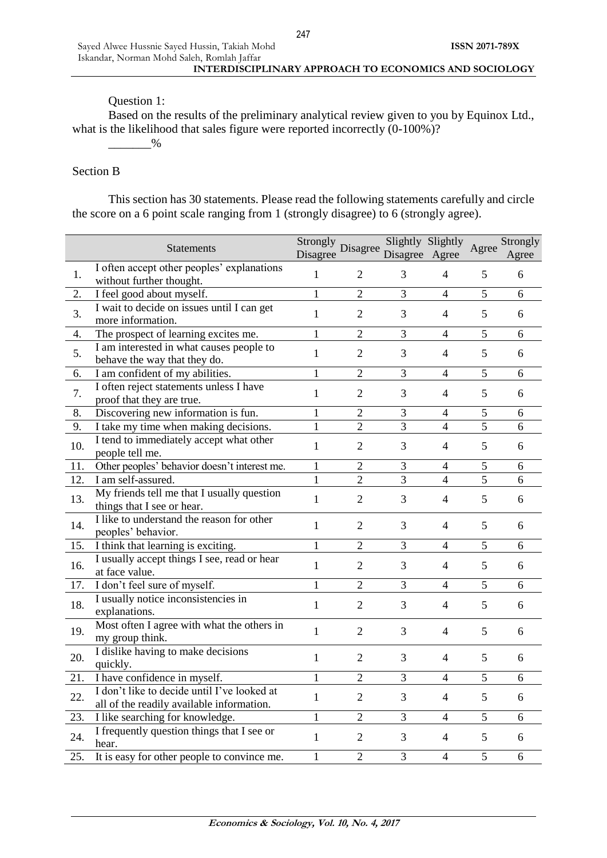# Question 1:

Based on the results of the preliminary analytical review given to you by Equinox Ltd., what is the likelihood that sales figure were reported incorrectly  $(0.100\%)$ ?

# $-$ %

### Section B

This section has 30 statements. Please read the following statements carefully and circle the score on a 6 point scale ranging from 1 (strongly disagree) to 6 (strongly agree).

|     | <b>Statements</b>                                                                        | Strongly Disagree<br>Disagree |                | Slightly Slightly<br>Disagree Agree |                | Agree          | Strongly<br>Agree |
|-----|------------------------------------------------------------------------------------------|-------------------------------|----------------|-------------------------------------|----------------|----------------|-------------------|
| 1.  | I often accept other peoples' explanations<br>without further thought.                   | $\mathbf{1}$                  | $\overline{2}$ | 3                                   | $\overline{4}$ | 5              | 6                 |
| 2.  | I feel good about myself.                                                                | $\mathbf{1}$                  | $\overline{2}$ | $\overline{3}$                      | $\overline{4}$ | 5              | 6                 |
| 3.  | I wait to decide on issues until I can get<br>more information.                          | $\mathbf{1}$                  | $\overline{2}$ | 3                                   | $\overline{4}$ | 5              | 6                 |
| 4.  | The prospect of learning excites me.                                                     | $\mathbf{1}$                  | $\overline{2}$ | 3                                   | 4              | 5              | 6                 |
| 5.  | I am interested in what causes people to<br>behave the way that they do.                 | $\mathbf{1}$                  | $\overline{2}$ | 3                                   | $\overline{4}$ | 5              | 6                 |
| 6.  | I am confident of my abilities.                                                          | $\mathbf{1}$                  | $\overline{2}$ | 3                                   | $\overline{4}$ | 5              | 6                 |
| 7.  | I often reject statements unless I have<br>proof that they are true.                     | 1                             | $\overline{2}$ | 3                                   | 4              | 5              | 6                 |
| 8.  | Discovering new information is fun.                                                      | 1                             | $\overline{2}$ | 3                                   | 4              | 5              | 6                 |
| 9.  | I take my time when making decisions.                                                    | 1                             | $\overline{2}$ | 3                                   | $\overline{4}$ | 5              | 6                 |
| 10. | I tend to immediately accept what other<br>people tell me.                               | $\mathbf{1}$                  | $\mathbf{2}$   | 3                                   | 4              | 5              | 6                 |
| 11. | Other peoples' behavior doesn't interest me.                                             | $\mathbf{1}$                  | $\overline{2}$ | 3                                   | $\overline{4}$ | 5              | 6                 |
| 12. | I am self-assured.                                                                       | $\mathbf{1}$                  | $\overline{2}$ | $\overline{3}$                      | $\overline{4}$ | $\overline{5}$ | 6                 |
| 13. | My friends tell me that I usually question<br>things that I see or hear.                 | $\mathbf{1}$                  | $\overline{2}$ | 3                                   | 4              | 5              | 6                 |
| 14. | I like to understand the reason for other<br>peoples' behavior.                          | $\mathbf{1}$                  | $\overline{2}$ | 3                                   | 4              | 5              | 6                 |
| 15. | I think that learning is exciting.                                                       | $\mathbf{1}$                  | $\overline{2}$ | 3                                   | $\overline{4}$ | 5              | 6                 |
| 16. | I usually accept things I see, read or hear<br>at face value.                            | $\mathbf{1}$                  | $\overline{2}$ | 3                                   | 4              | 5              | 6                 |
| 17. | I don't feel sure of myself.                                                             | 1                             | $\overline{2}$ | 3                                   | 4              | 5              | 6                 |
| 18. | I usually notice inconsistencies in<br>explanations.                                     | $\mathbf{1}$                  | $\overline{2}$ | 3                                   | $\overline{4}$ | 5              | 6                 |
| 19. | Most often I agree with what the others in<br>my group think.                            | $\mathbf{1}$                  | $\overline{2}$ | 3                                   | 4              | 5              | 6                 |
| 20. | I dislike having to make decisions<br>quickly.                                           | $\mathbf{1}$                  | $\overline{2}$ | 3                                   | $\overline{4}$ | 5              | 6                 |
| 21. | I have confidence in myself.                                                             | 1                             | $\overline{2}$ | $\overline{3}$                      | 4              | 5              | 6                 |
| 22. | I don't like to decide until I've looked at<br>all of the readily available information. | $\mathbf{1}$                  | $\overline{2}$ | 3                                   | $\overline{4}$ | 5              | 6                 |
| 23. | I like searching for knowledge.                                                          | 1                             | $\overline{2}$ | $\overline{3}$                      | 4              | 5              | 6                 |
| 24. | I frequently question things that I see or<br>hear.                                      | $\mathbf{1}$                  | $\overline{2}$ | 3                                   | $\overline{4}$ | 5              | 6                 |
| 25. | It is easy for other people to convince me.                                              | 1                             | $\overline{2}$ | 3                                   | $\overline{4}$ | 5              | 6                 |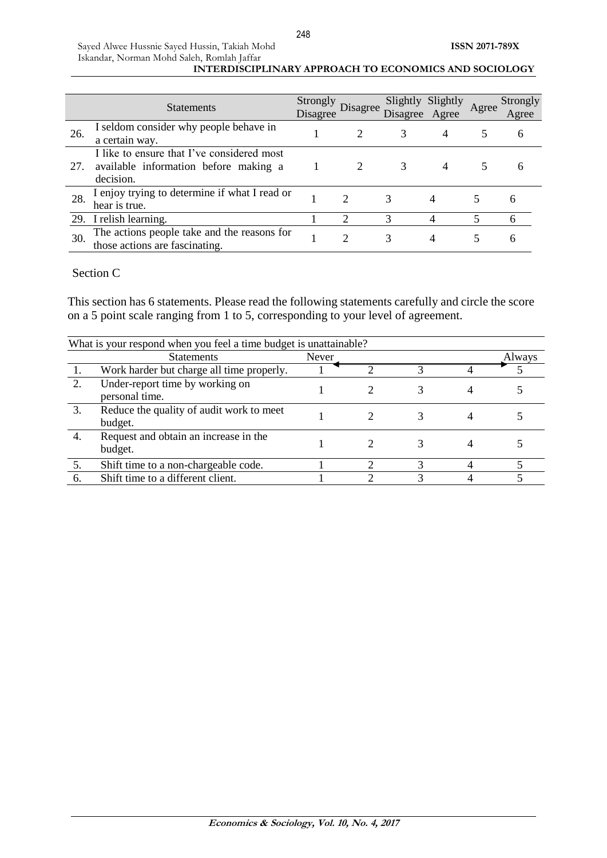|     | <b>Statements</b>                                                                                | Strongly<br>Disagree | Disagree                    | Slightly<br>Disagree Agree | Slightly | Agree | Strongly<br>Agree |
|-----|--------------------------------------------------------------------------------------------------|----------------------|-----------------------------|----------------------------|----------|-------|-------------------|
| 26. | I seldom consider why people behave in<br>a certain way.                                         |                      |                             |                            | 4        |       | 6                 |
| 27. | I like to ensure that I've considered most<br>available information before making a<br>decision. |                      |                             |                            | 4        |       | h                 |
| 28. | I enjoy trying to determine if what I read or<br>hear is true.                                   |                      | $\mathcal{D}_{\mathcal{L}}$ | 3                          |          |       | h                 |
|     | 29. I relish learning.                                                                           |                      | ◠                           | 3                          |          |       | 6                 |
| 30. | The actions people take and the reasons for<br>those actions are fascinating.                    |                      | $\mathcal{D}_{\mathcal{L}}$ | 3                          | 4        |       | 6                 |

# Section C

This section has 6 statements. Please read the following statements carefully and circle the score on a 5 point scale ranging from 1 to 5, corresponding to your level of agreement.

|     | What is your respond when you feel a time budget is unattainable? |       |  |        |
|-----|-------------------------------------------------------------------|-------|--|--------|
|     | <b>Statements</b>                                                 | Never |  | Always |
|     | Work harder but charge all time properly.                         |       |  |        |
| 2.  | Under-report time by working on<br>personal time.                 |       |  |        |
| 3.  | Reduce the quality of audit work to meet<br>budget.               |       |  |        |
| 4.  | Request and obtain an increase in the<br>budget.                  |       |  |        |
| 5.  | Shift time to a non-chargeable code.                              |       |  |        |
| -6. | Shift time to a different client.                                 |       |  |        |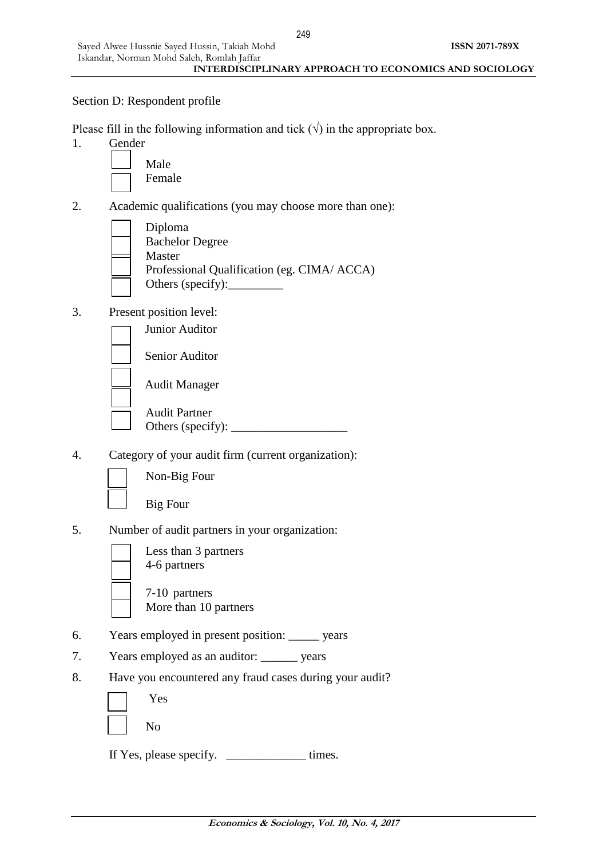### Section D: Respondent profile

Please fill in the following information and tick ( $\sqrt{ }$ ) in the appropriate box.

1. Gender



- 2. Academic qualifications (you may choose more than one):
	- Diploma Bachelor Degree Master Professional Qualification (eg. CIMA/ ACCA) Others (specify):
- 3. Present position level:



4. Category of your audit firm (current organization):



Non-Big Four

Big Four

- 5. Number of audit partners in your organization:
	- Less than 3 partners 4-6 partners 7-10 partners
		- More than 10 partners
- 6. Years employed in present position: \_\_\_\_\_ years
- 7. Years employed as an auditor: years
- 8. Have you encountered any fraud cases during your audit?

| Yes            |  |
|----------------|--|
| N <sub>o</sub> |  |

If Yes, please specify. \_\_\_\_\_\_\_\_\_\_\_\_\_ times.